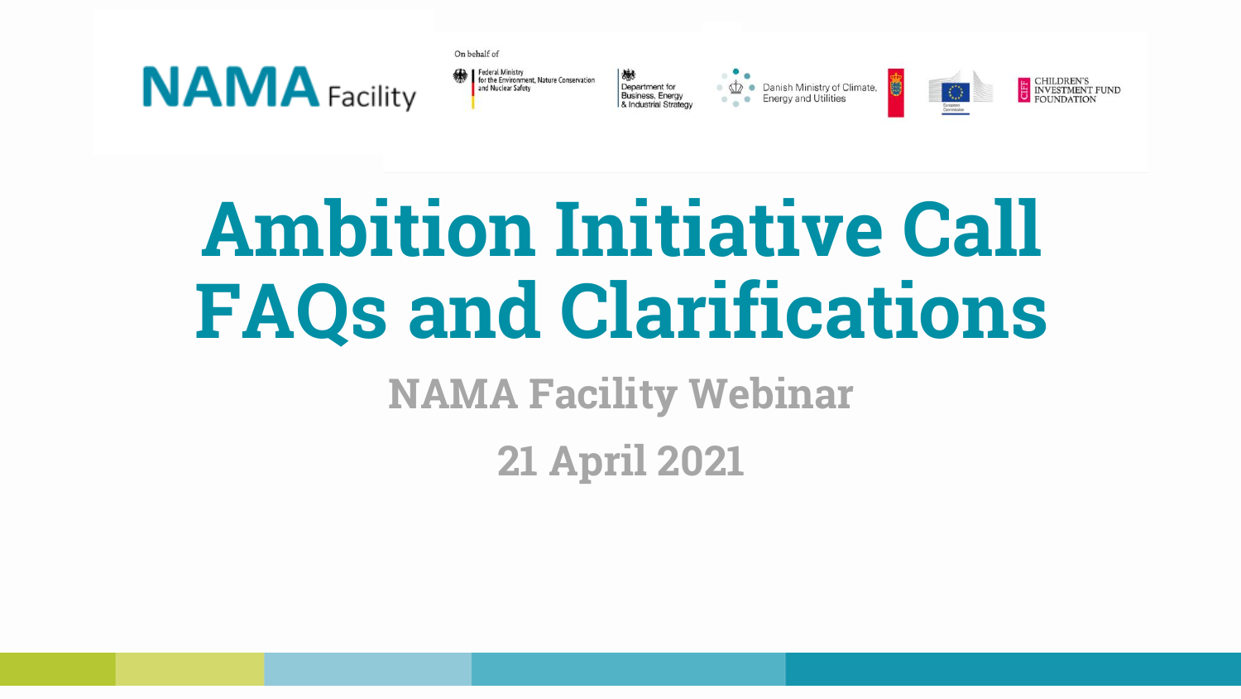

| On behalf of                                                                       |                                                                         |                                                            |   |  |
|------------------------------------------------------------------------------------|-------------------------------------------------------------------------|------------------------------------------------------------|---|--|
| Federal Ministry<br>for the Environment, Nature Conservation<br>and Nuclear Safety | 戀<br>Department for<br><b>Business, Energy</b><br>& Industrial Strategy | Danish Ministry of Climate,<br><b>Energy and Utilities</b> | 0 |  |

**NVESTMENT FUND** 

# **Ambition Initiative Call FAQs and Clarifications**

**NAMA Facility Webinar**

**21 April 2021**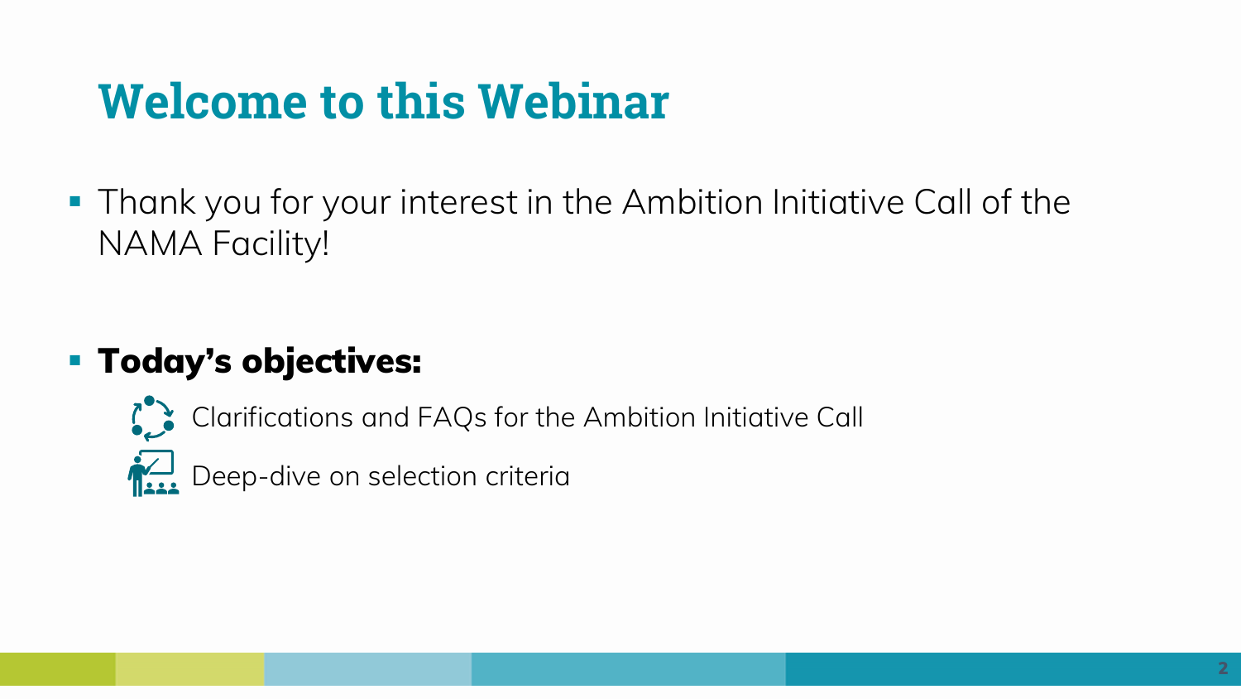# **Welcome to this Webinar**

**• Thank you for your interest in the Ambition Initiative Call of the** NAMA Facility!

## ▪ **Today's objectives:**



- Clarifications and FAQs for the Ambition Initiative Call
- $\sum_{n=1}^{\infty}$  Deep-dive on selection criteria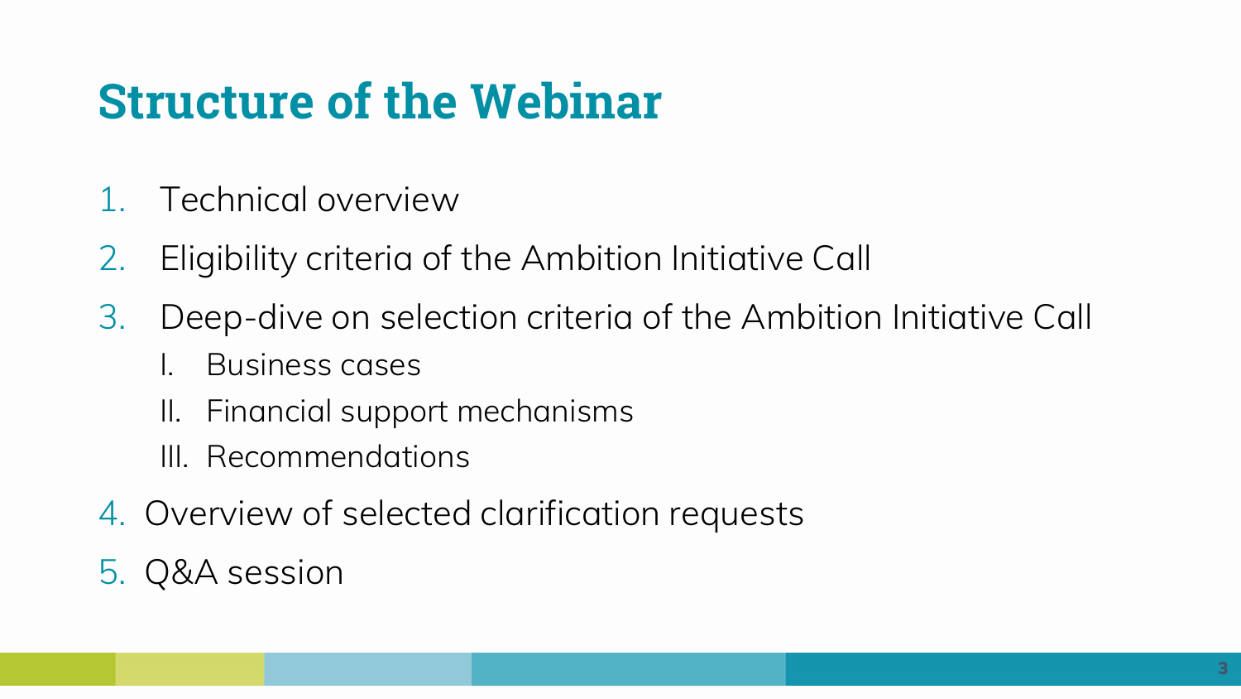# **Structure of the Webinar**

- 1. Technical overview
- 2. Eligibility criteria of the Ambition Initiative Call
- 3. Deep-dive on selection criteria of the Ambition Initiative Call
	- I. Business cases
	- II. Financial support mechanisms
	- III. Recommendations
- 4. Overview of selected clarification requests
- 5. Q&A session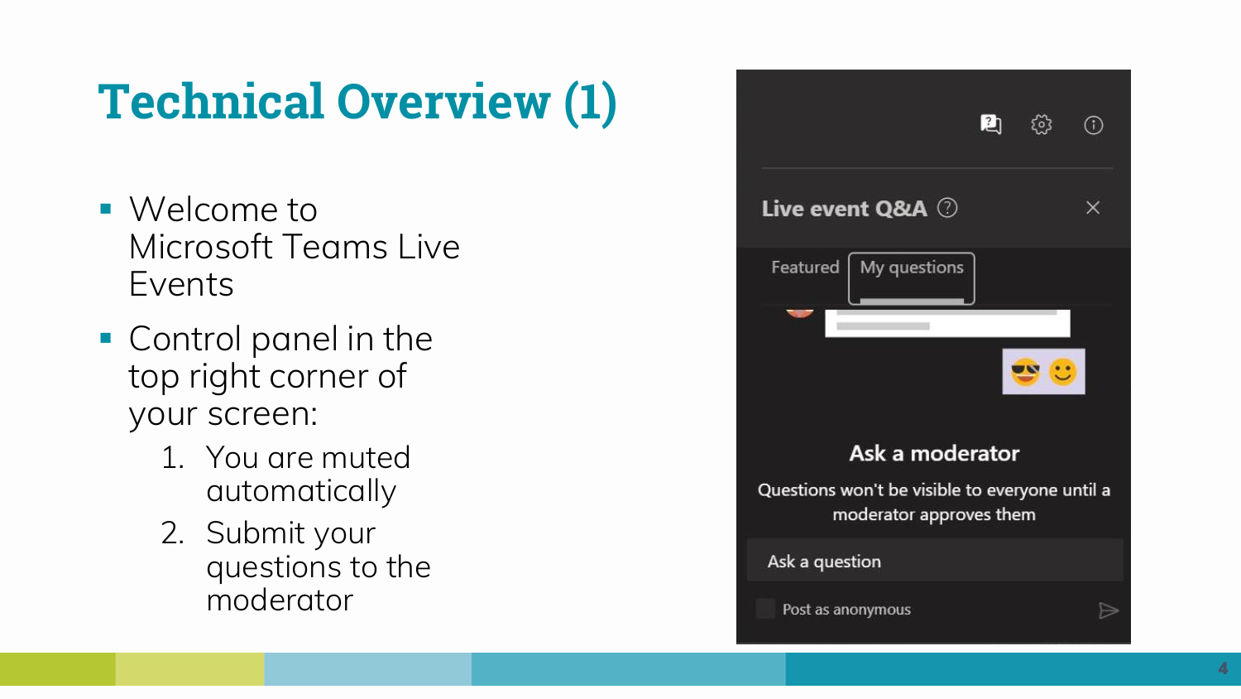# **Technical Overview (1)**

- Welcome to Microsoft Teams Live Events
- Control panel in the top right corner of your screen:
	- 1. You are muted automatically
	- 2. Submit your questions to the moderator

![](_page_3_Picture_5.jpeg)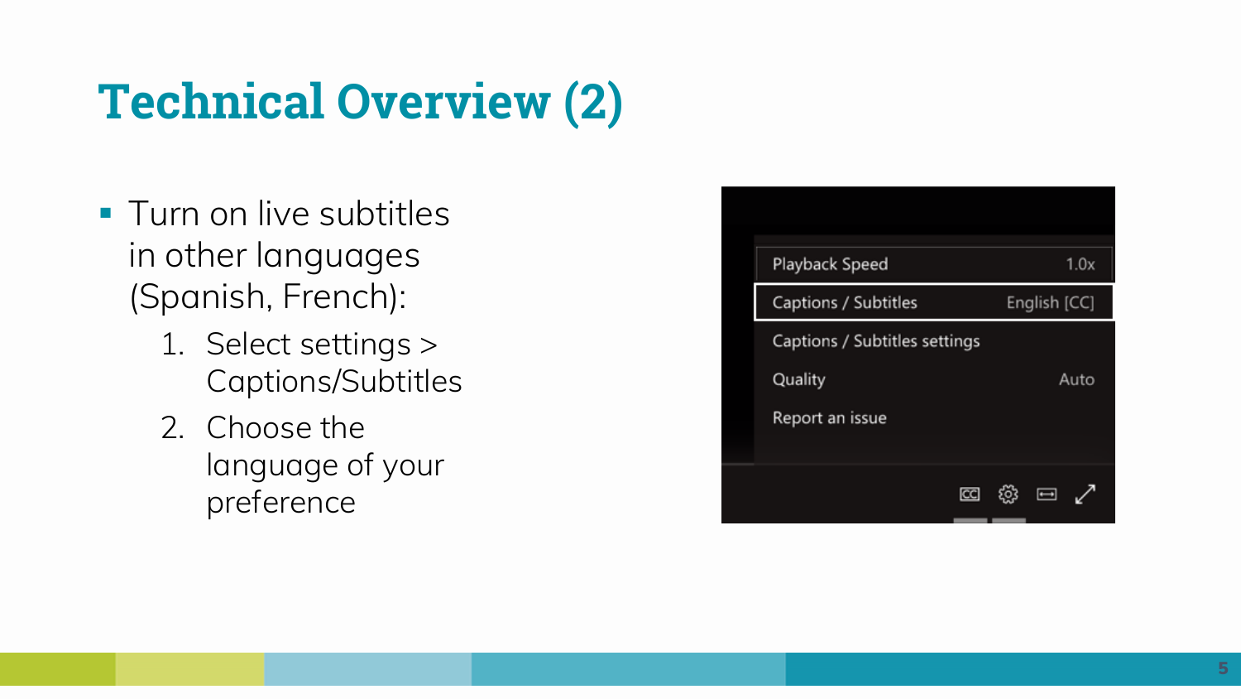# **Technical Overview (2)**

- **Turn on live subtitles** in other languages (Spanish, French):
	- 1. Select settings > Captions/Subtitles
	- 2. Choose the language of your preference

| Playback Speed                | 1.0x                     |  |  |
|-------------------------------|--------------------------|--|--|
| Captions / Subtitles          | English [CC]             |  |  |
| Captions / Subtitles settings |                          |  |  |
| Quality                       | Auto                     |  |  |
| Report an issue               |                          |  |  |
|                               |                          |  |  |
| cc                            | $\overline{\phantom{0}}$ |  |  |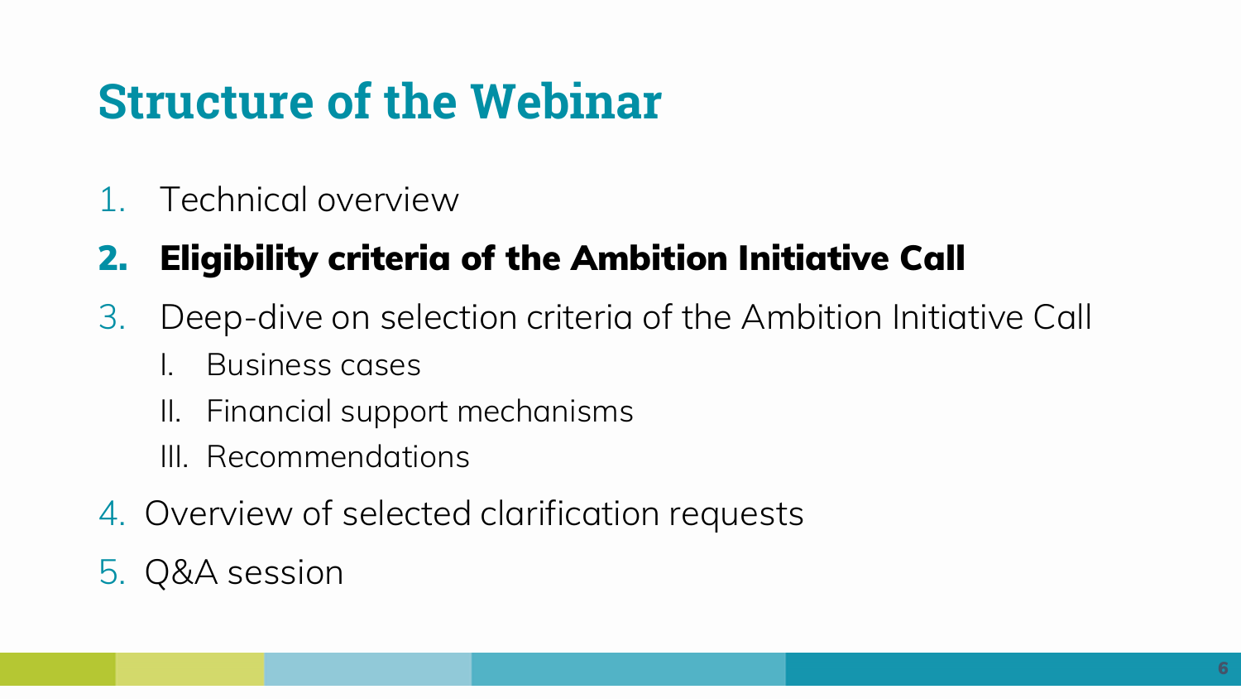# **Structure of the Webinar**

1. Technical overview

## **2. Eligibility criteria of the Ambition Initiative Call**

- 3. Deep-dive on selection criteria of the Ambition Initiative Call
	- I. Business cases
	- II. Financial support mechanisms
	- III. Recommendations
- 4. Overview of selected clarification requests
- 5. Q&A session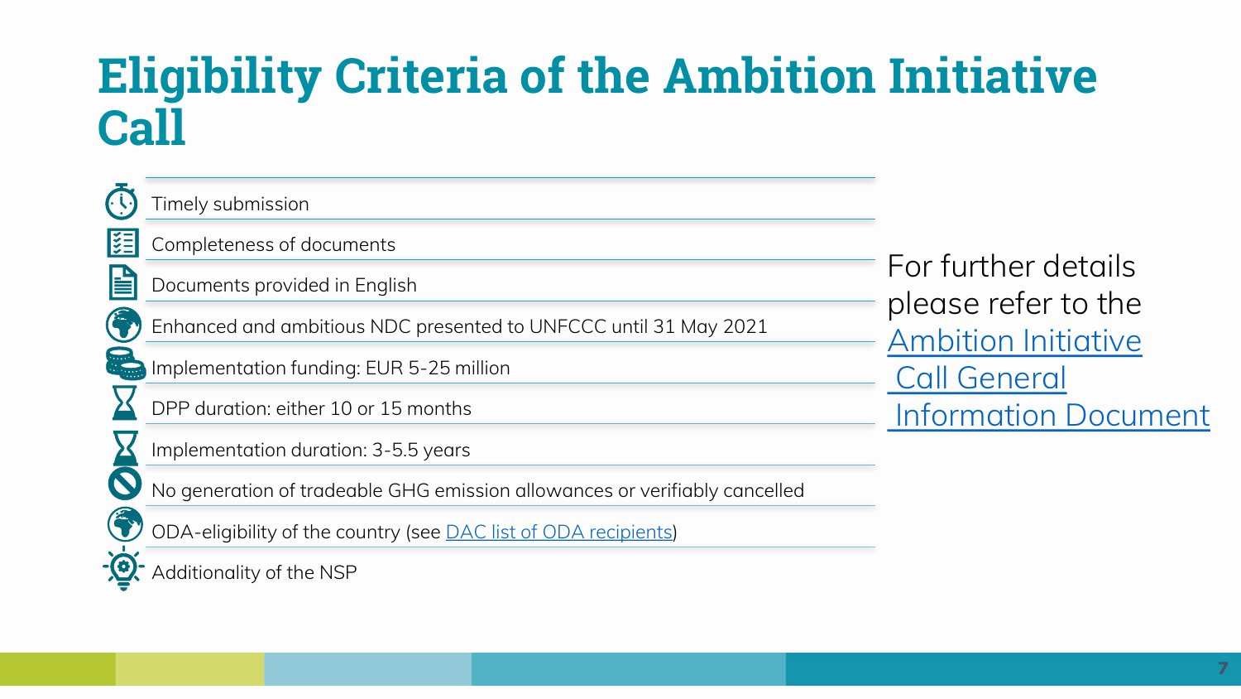Timely submission 隕 Completeness of documents H Documents provided in English Enhanced and ambitious NDC presented to UNFCCC until 31 May 2021 Implementation funding: EUR 5-25 million DPP duration: either 10 or 15 months Implementation duration: 3-5.5 years No generation of tradeable GHG emission allowances or verifiably cancelled ODA-eligibility of the country (see [DAC list of ODA recipients](http://www.oecd.org/dac/financing-sustainable-development/development-finance-standards/daclist.htm))

( Q

Additionality of the NSP

For further details please refer to the [Ambition Initiative](https://www.nama-facility.org/fileadmin/user_upload/call-for-projects/Ambition_Initiative/General_Information_Document_-_Ambition_Initiative.pdf) [Call General](https://www.nama-facility.org/fileadmin/user_upload/call-for-projects/Ambition_Initiative/General_Information_Document_-_Ambition_Initiative.pdf) [Information Document](https://www.nama-facility.org/fileadmin/user_upload/call-for-projects/Ambition_Initiative/General_Information_Document_-_Ambition_Initiative.pdf)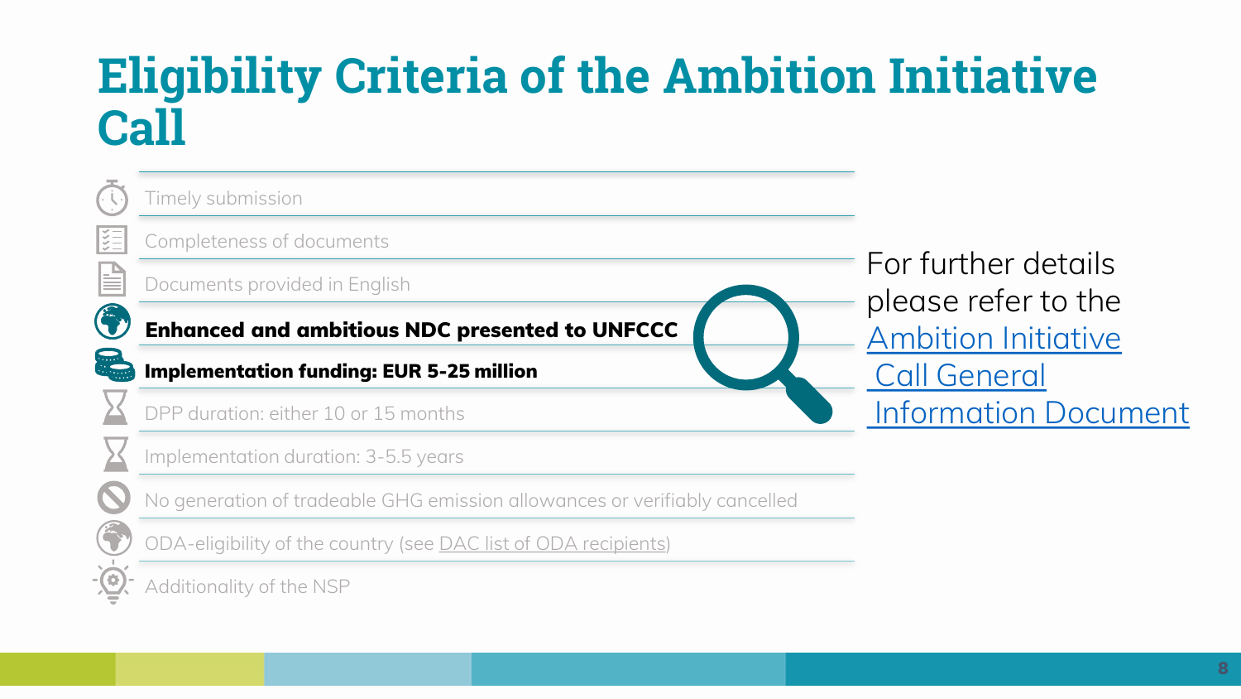![](_page_7_Picture_1.jpeg)

Timely submission

Completeness of documents

Documents provided in English

**Enhanced and ambitious NDC presented to UNFCCC**

**Implementation funding: EUR 5-25 million**

DPP duration: either 10 or 15 months

Implementation duration: 3-5.5 years

No generation of tradeable GHG emission allowances or verifiably cancelled

ODA-eligibility of the country (see [DAC list of ODA recipients](http://www.oecd.org/dac/financing-sustainable-development/development-finance-standards/daclist.htm))

Additionality of the NSP

For further details please refer to the [Ambition Initiative](https://www.nama-facility.org/fileadmin/user_upload/call-for-projects/Ambition_Initiative/General_Information_Document_-_Ambition_Initiative.pdf) [Call General](https://www.nama-facility.org/fileadmin/user_upload/call-for-projects/Ambition_Initiative/General_Information_Document_-_Ambition_Initiative.pdf) [Information Document](https://www.nama-facility.org/fileadmin/user_upload/call-for-projects/Ambition_Initiative/General_Information_Document_-_Ambition_Initiative.pdf)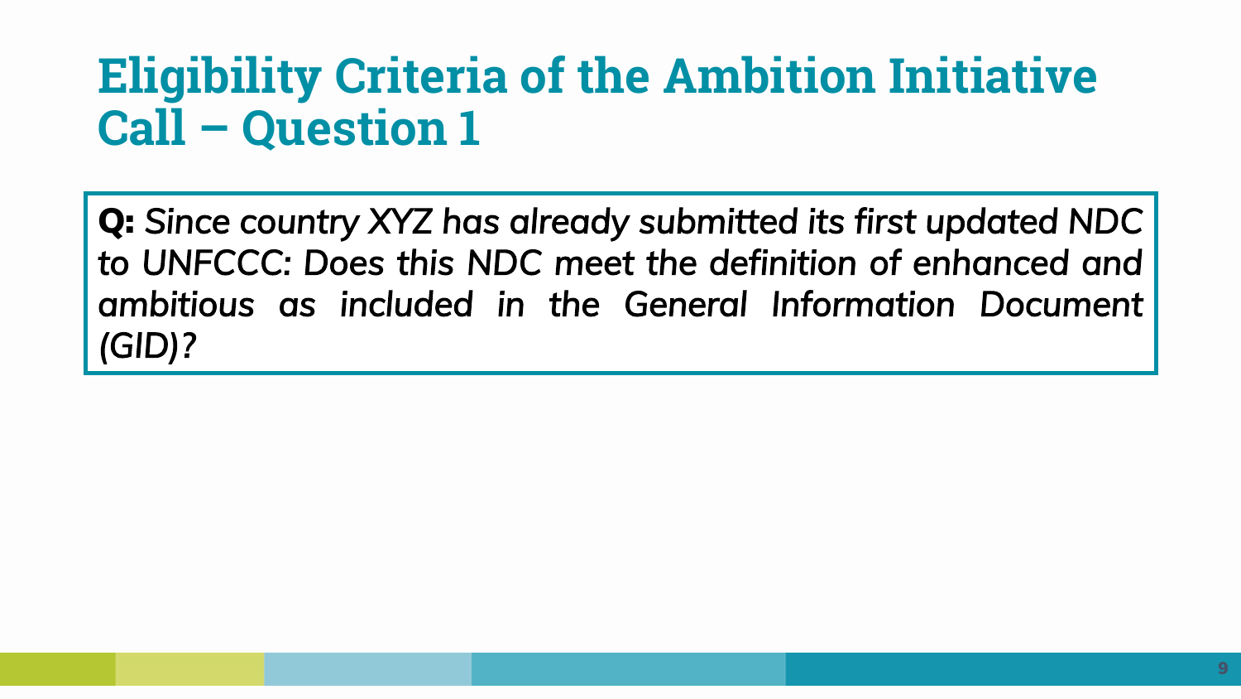**Q:** *Since country XYZ has already submitted its first updated NDC to UNFCCC: Does this NDC meet the definition of enhanced and ambitious as included in the General Information Document (GID)?*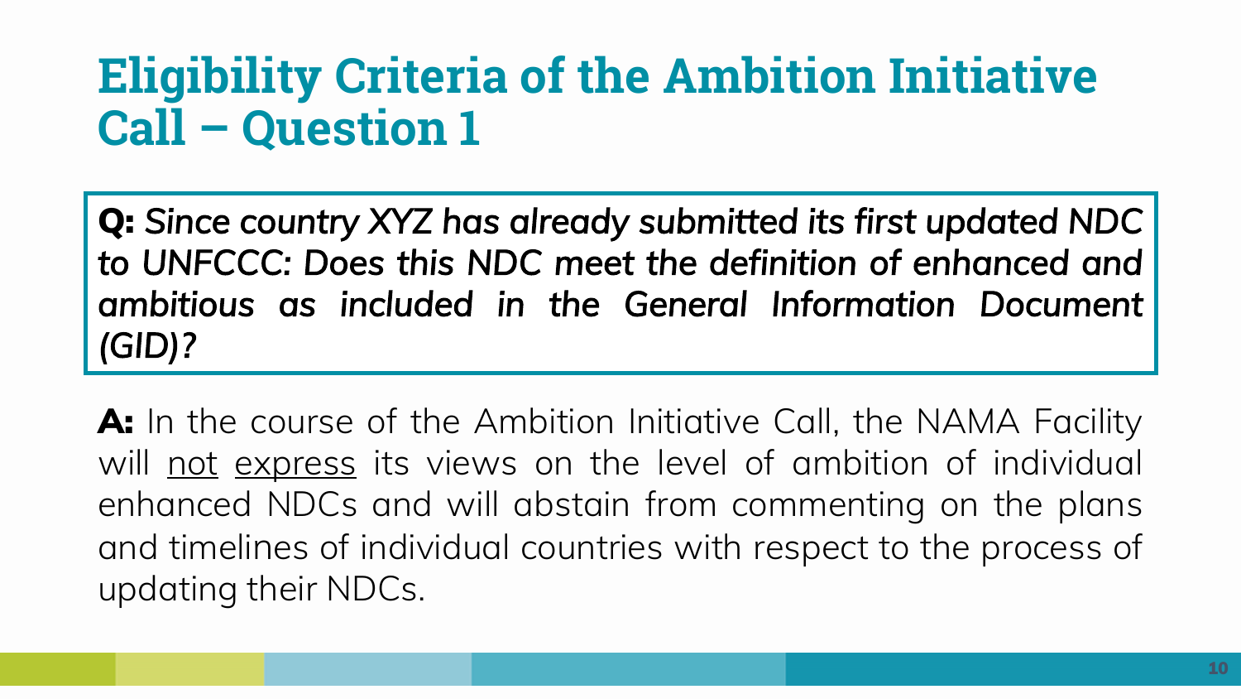**Q:** *Since country XYZ has already submitted its first updated NDC to UNFCCC: Does this NDC meet the definition of enhanced and ambitious as included in the General Information Document (GID)?*

**A:** In the course of the Ambition Initiative Call, the NAMA Facility will not express its views on the level of ambition of individual enhanced NDCs and will abstain from commenting on the plans and timelines of individual countries with respect to the process of updating their NDCs.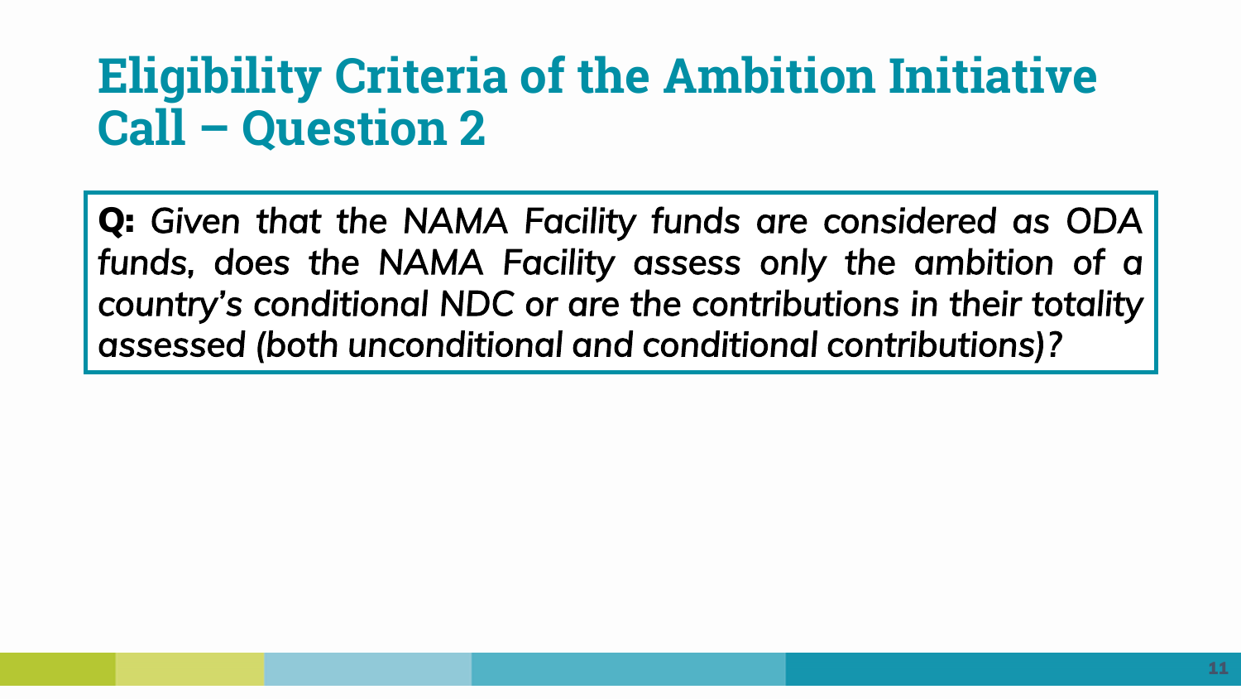**Q:** *Given that the NAMA Facility funds are considered as ODA funds, does the NAMA Facility assess only the ambition of a country's conditional NDC or are the contributions in their totality assessed (both unconditional and conditional contributions)?*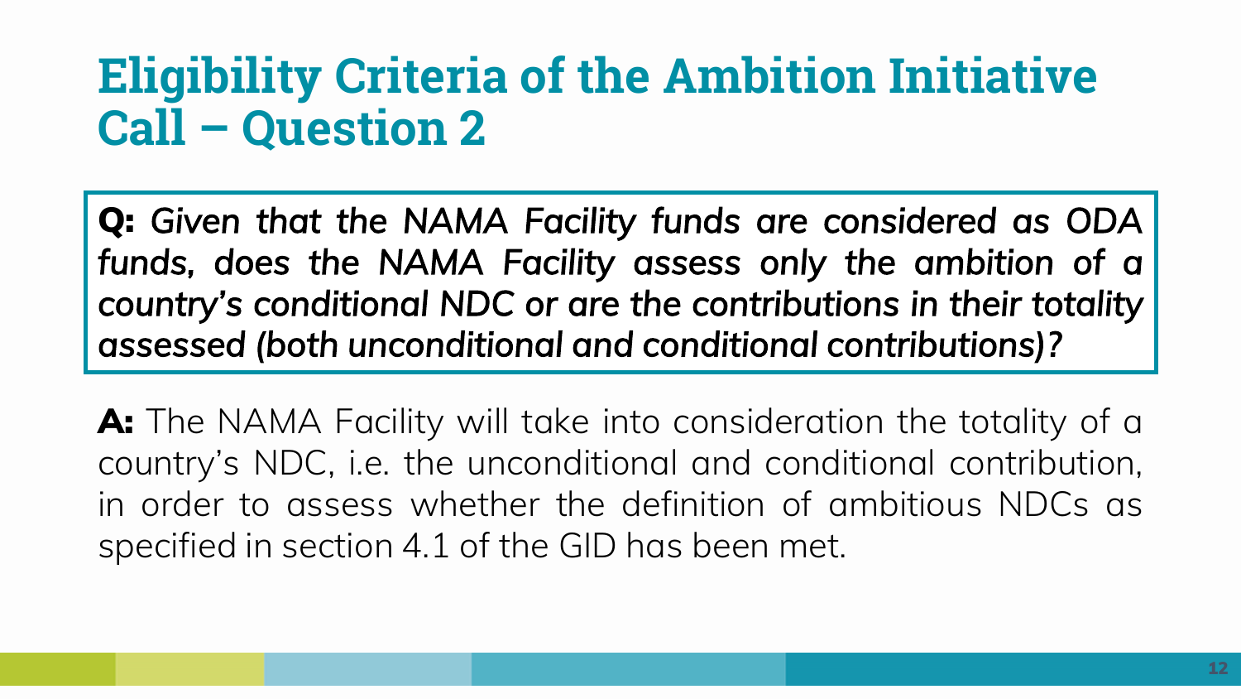**Q:** *Given that the NAMA Facility funds are considered as ODA funds, does the NAMA Facility assess only the ambition of a country's conditional NDC or are the contributions in their totality assessed (both unconditional and conditional contributions)?*

**A:** The NAMA Facility will take into consideration the totality of a country's NDC, i.e. the unconditional and conditional contribution, in order to assess whether the definition of ambitious NDCs as specified in section 4.1 of the GID has been met.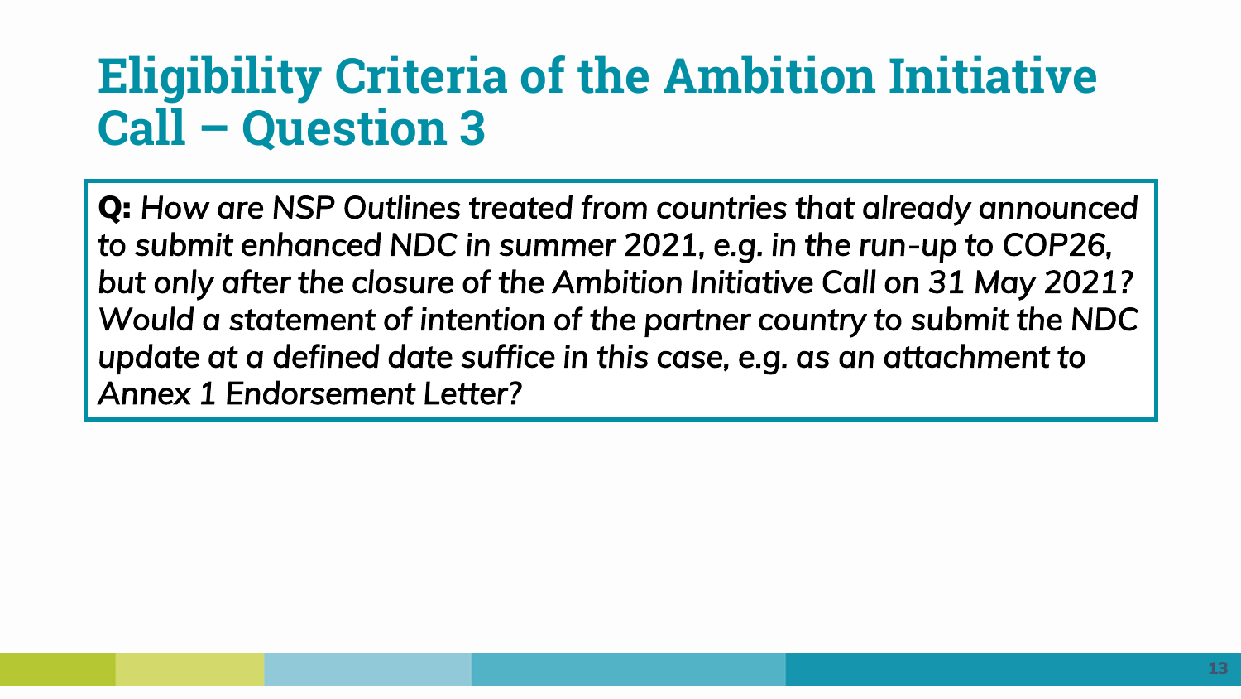**Q:** *How are NSP Outlines treated from countries that already announced to submit enhanced NDC in summer 2021, e.g. in the run-up to COP26, but only after the closure of the Ambition Initiative Call on 31 May 2021? Would a statement of intention of the partner country to submit the NDC update at a defined date suffice in this case, e.g. as an attachment to Annex 1 Endorsement Letter?*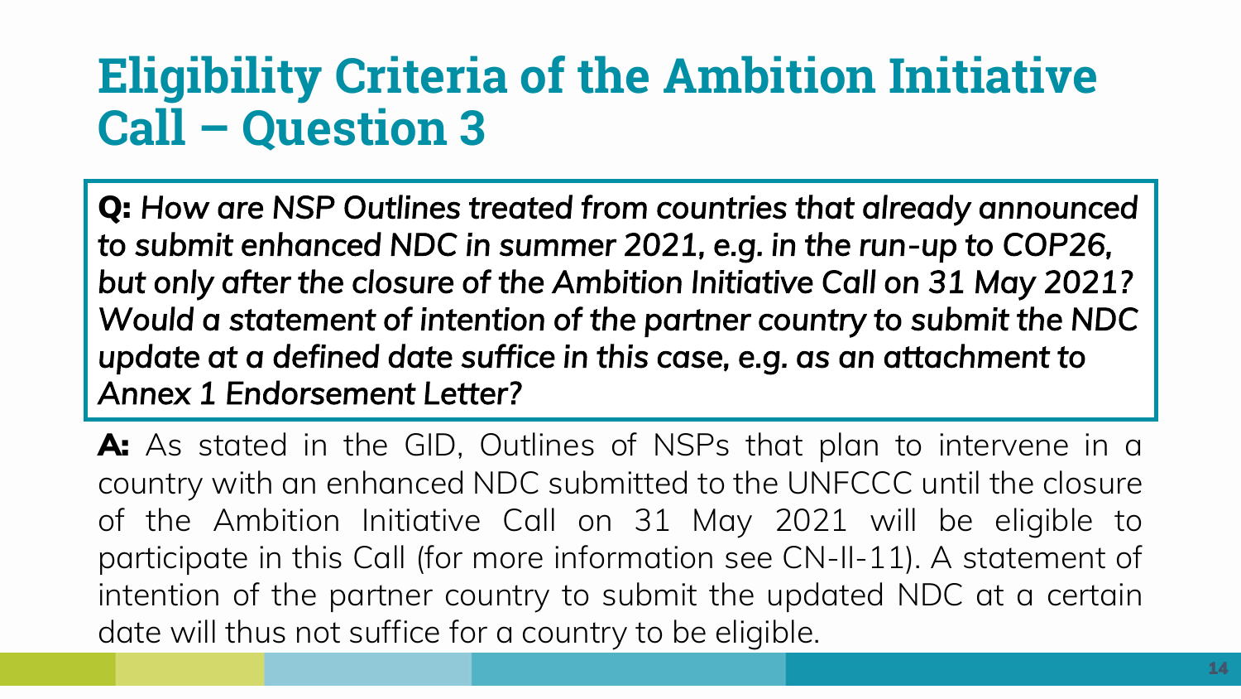**Q:** *How are NSP Outlines treated from countries that already announced to submit enhanced NDC in summer 2021, e.g. in the run-up to COP26, but only after the closure of the Ambition Initiative Call on 31 May 2021? Would a statement of intention of the partner country to submit the NDC update at a defined date suffice in this case, e.g. as an attachment to Annex 1 Endorsement Letter?* 

**A:** As stated in the GID, Outlines of NSPs that plan to intervene in a country with an enhanced NDC submitted to the UNFCCC until the closure of the Ambition Initiative Call on 31 May 2021 will be eligible to participate in this Call (for more information see CN-II-11). A statement of intention of the partner country to submit the updated NDC at a certain date will thus not suffice for a country to be eligible.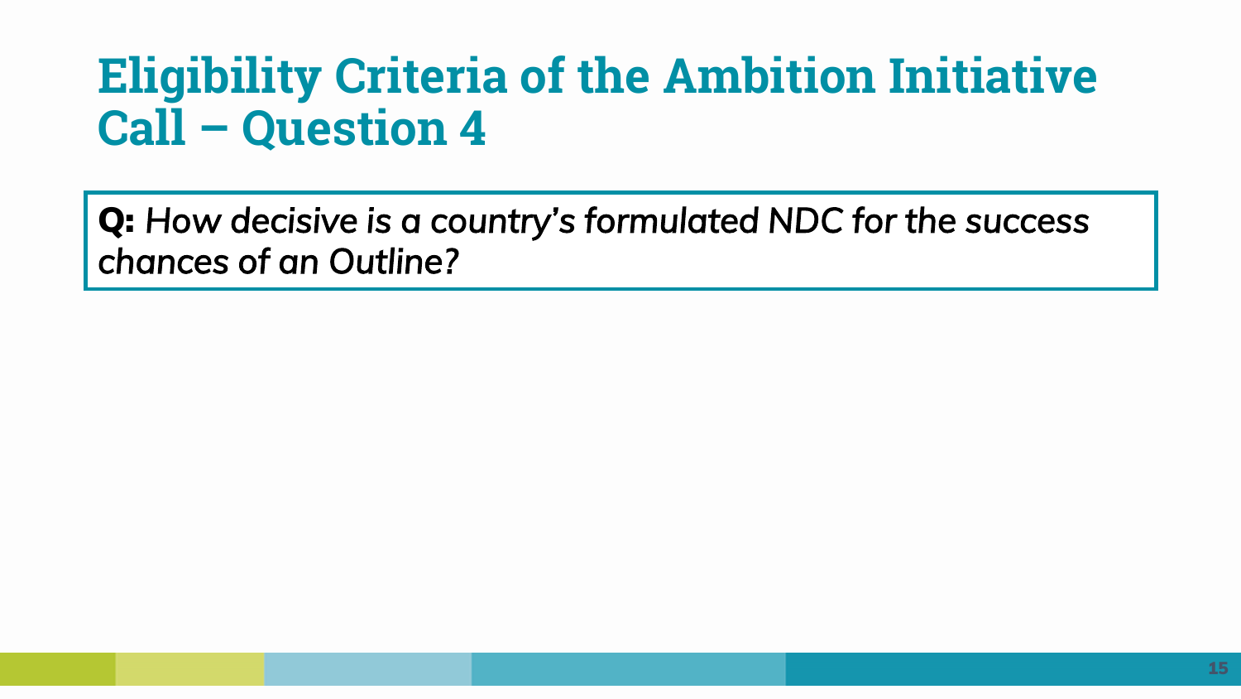**Q:** *How decisive is a country's formulated NDC for the success chances of an Outline?*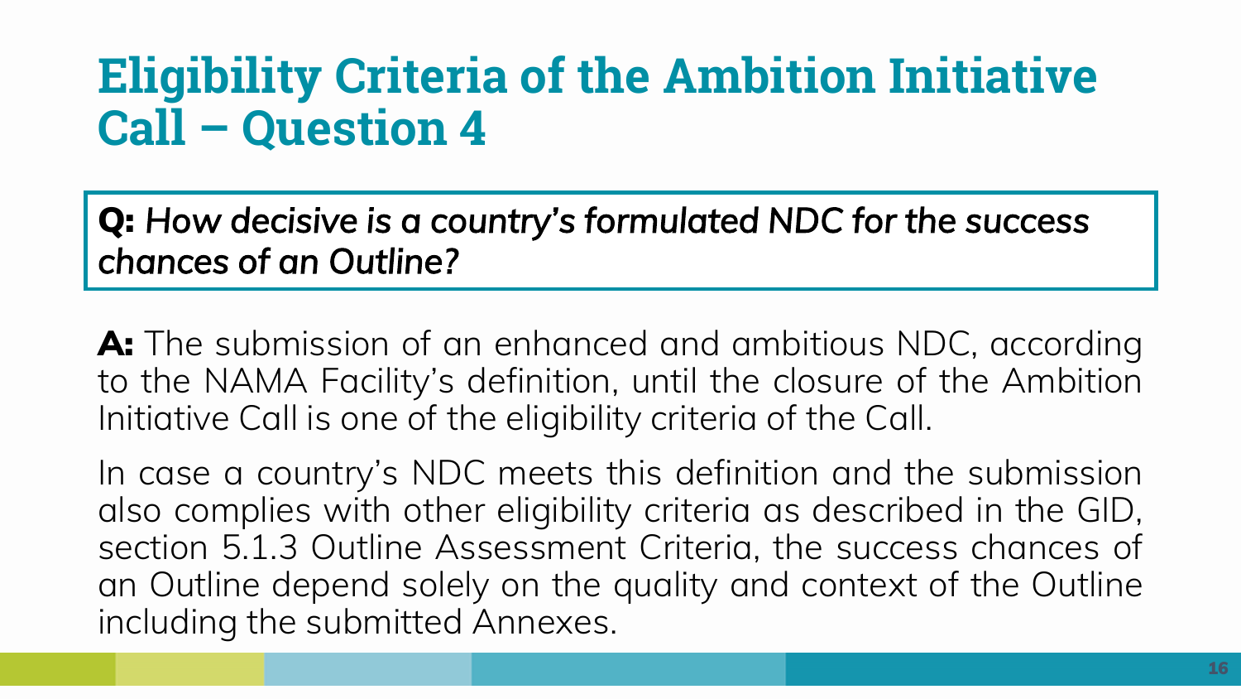**Q:** *How decisive is a country's formulated NDC for the success chances of an Outline?* 

**A:** The submission of an enhanced and ambitious NDC, according to the NAMA Facility's definition, until the closure of the Ambition Initiative Call is one of the eligibility criteria of the Call.

In case a country's NDC meets this definition and the submission also complies with other eligibility criteria as described in the GID, section 5.1.3 Outline Assessment Criteria, the success chances of an Outline depend solely on the quality and context of the Outline including the submitted Annexes.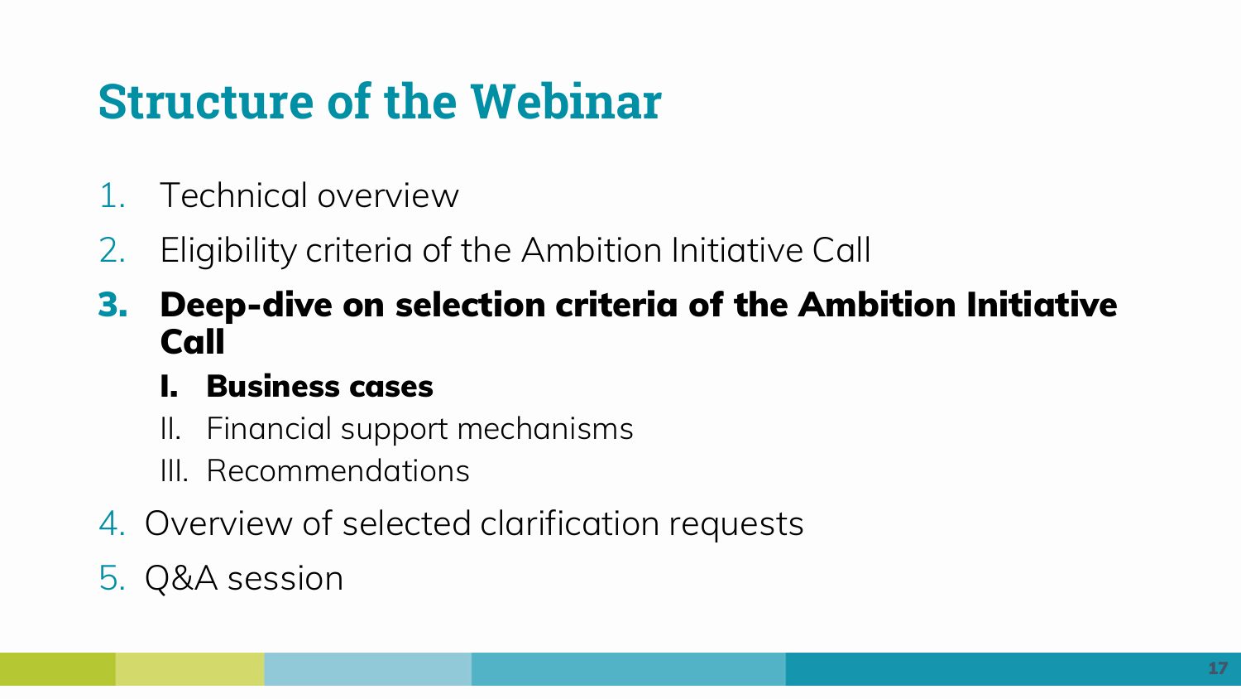# **Structure of the Webinar**

- 1. Technical overview
- 2. Eligibility criteria of the Ambition Initiative Call
- **3. Deep-dive on selection criteria of the Ambition Initiative Call**

### **I. Business cases**

- II. Financial support mechanisms
- III. Recommendations
- 4. Overview of selected clarification requests

## 5. Q&A session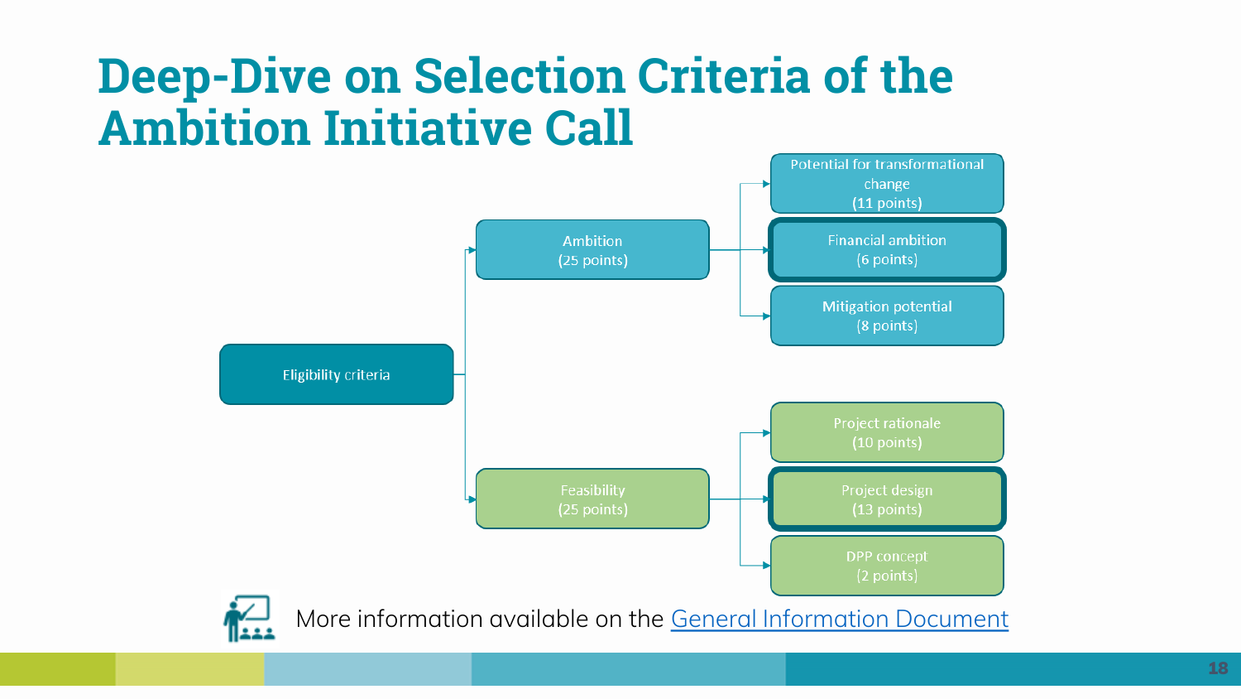## **Deep-Dive on Selection Criteria of the Ambition Initiative Call**

![](_page_17_Figure_1.jpeg)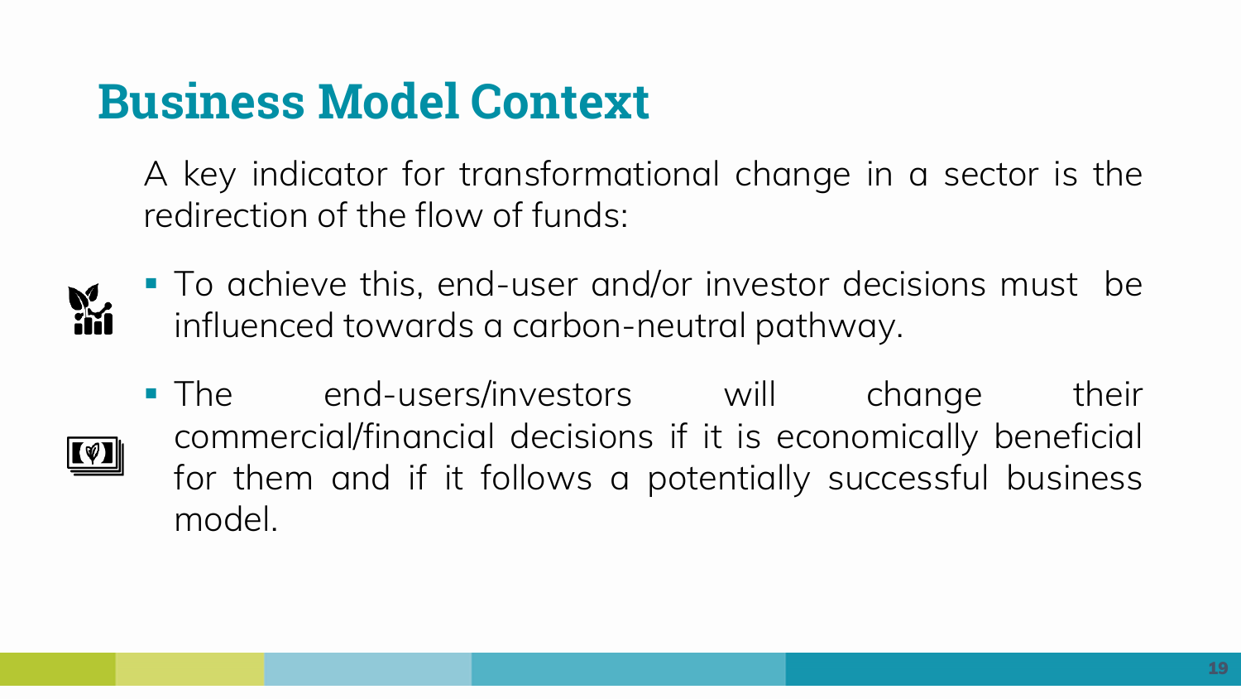## **Business Model Context**

A key indicator for transformational change in a sector is the redirection of the flow of funds:

![](_page_18_Picture_2.jpeg)

■ To achieve this, end-user and/or investor decisions must be influenced towards a carbon-neutral pathway.

**• The end-users/investors will change their** commercial/financial decisions if it is economically beneficial for them and if it follows a potentially successful business model.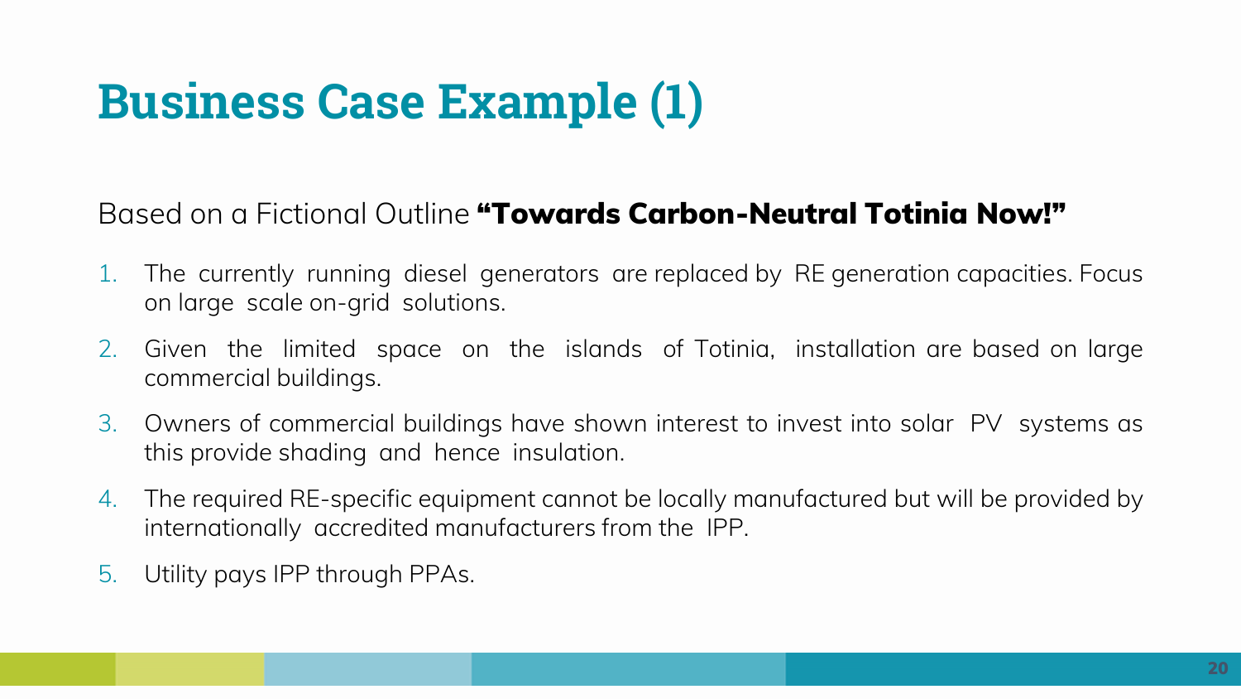# **Business Case Example (1)**

#### Based on a Fictional Outline **"Towards Carbon-Neutral Totinia Now!"**

- 1. The currently running diesel generators are replaced by RE generation capacities. Focus on large scale on-grid solutions.
- 2. Given the limited space on the islands of Totinia, installation are based on large commercial buildings.
- 3. Owners of commercial buildings have shown interest to invest into solar PV systems as this provide shading and hence insulation.
- 4. The required RE-specific equipment cannot be locally manufactured but will be provided by internationally accredited manufacturers from the IPP.
- 5. Utility pays IPP through PPAs.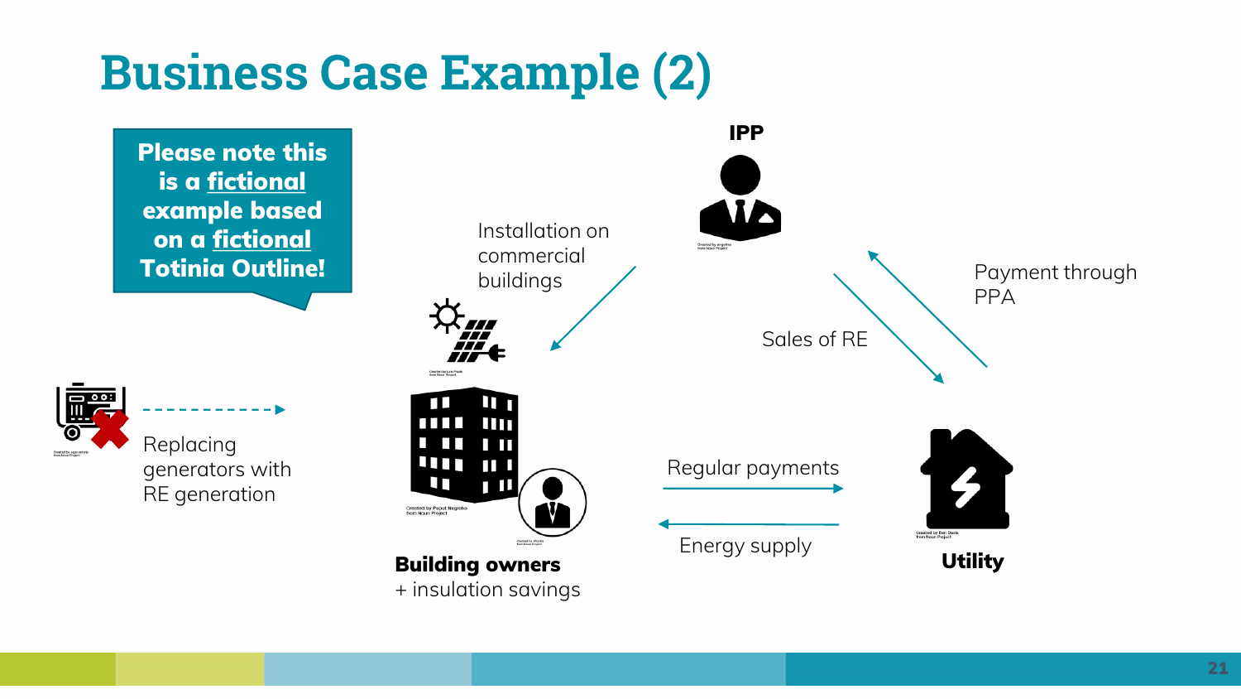## **Business Case Example (2)**

![](_page_20_Figure_1.jpeg)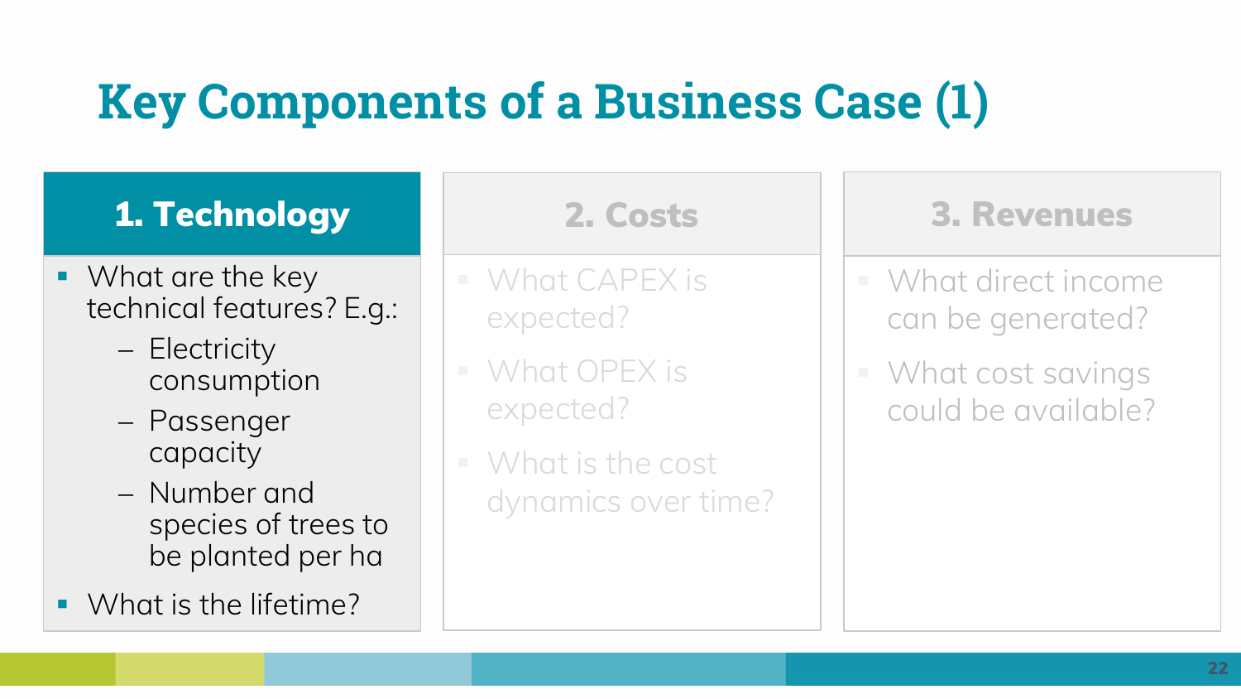# **Key Components of a Business Case (1)**

## **1. Technology**

- What are the key technical features? E.g.:
	- − Electricity consumption
	- − Passenger capacity
	- − Number and species of trees to be planted per ha
- What is the lifetime?

- What CAPEX is expected?
- What OPEX is expected?
- $\blacksquare$  What is the cost dynamics over time?

#### **2. Costs 3. Revenues**

- What direct income can be generated?
- What cost savings could be available?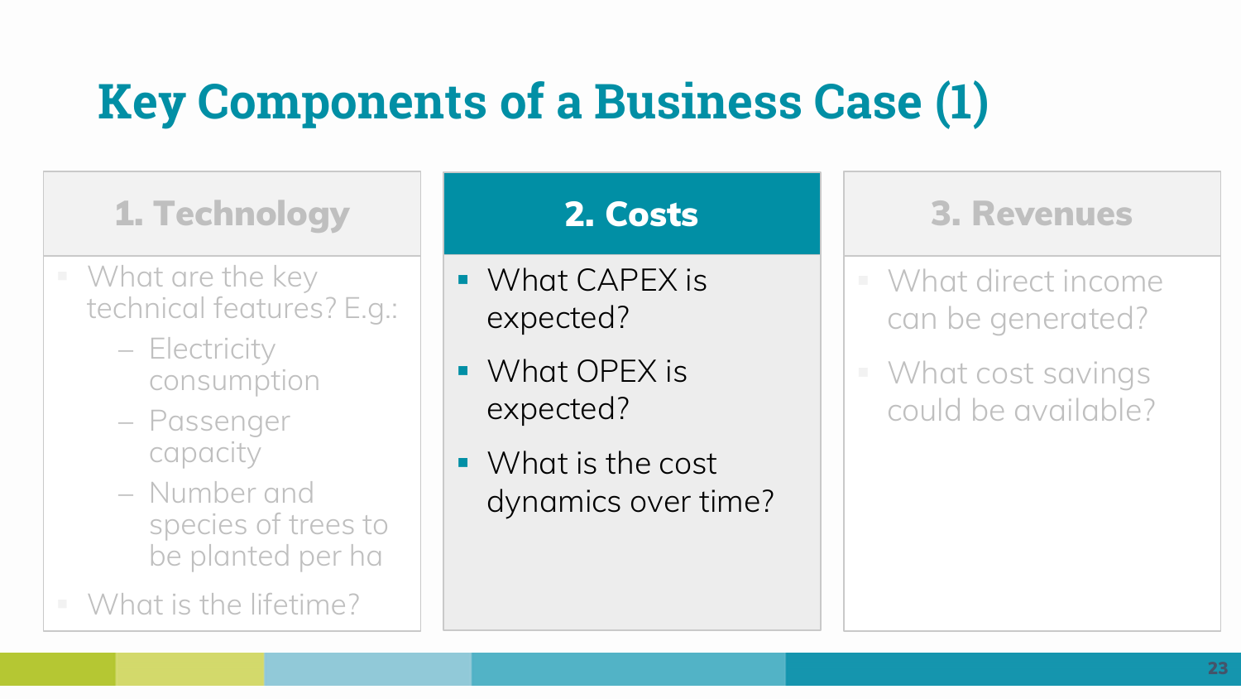# **Key Components of a Business Case (1)**

## **1. Technology**

- $\blacksquare$  What are the key technical features? E.g.:
	- − Electricity consumption
	- − Passenger capacity
	- − Number and species of trees to be planted per ha
- What is the lifetime?

- What CAPEX is expected?
- What OPEX is expected?
- What is the cost dynamics over time?

#### **2. Costs 3. Revenues**

- What direct income can be generated?
- What cost savings could be available?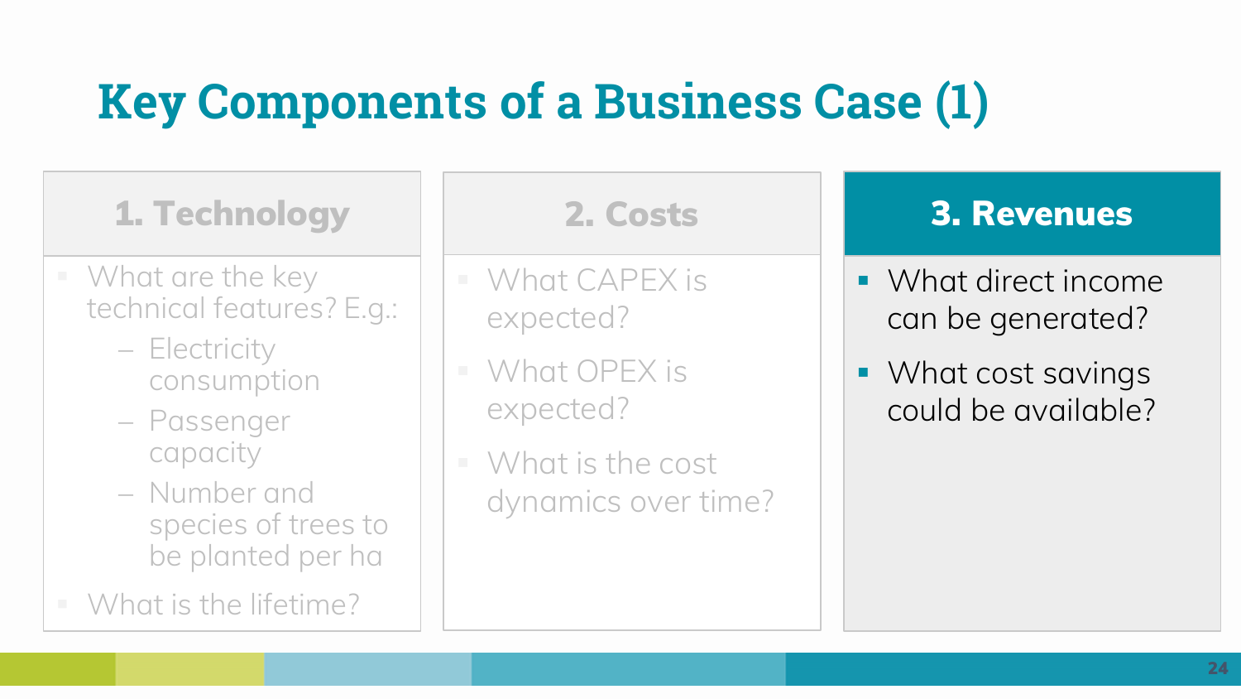# **Key Components of a Business Case (1)**

**1. Technology**

- $\blacksquare$  What are the key technical features? E.g.:
	- − Electricity consumption
	- − Passenger capacity
	- − Number and species of trees to be planted per ha
- What is the lifetime?

- What CAPEX is expected?
- What OPEX is expected?
- $\blacksquare$  What is the cost dynamics over time?

#### **2. Costs 3. Revenues**

- What direct income can be generated?
- What cost savings could be available?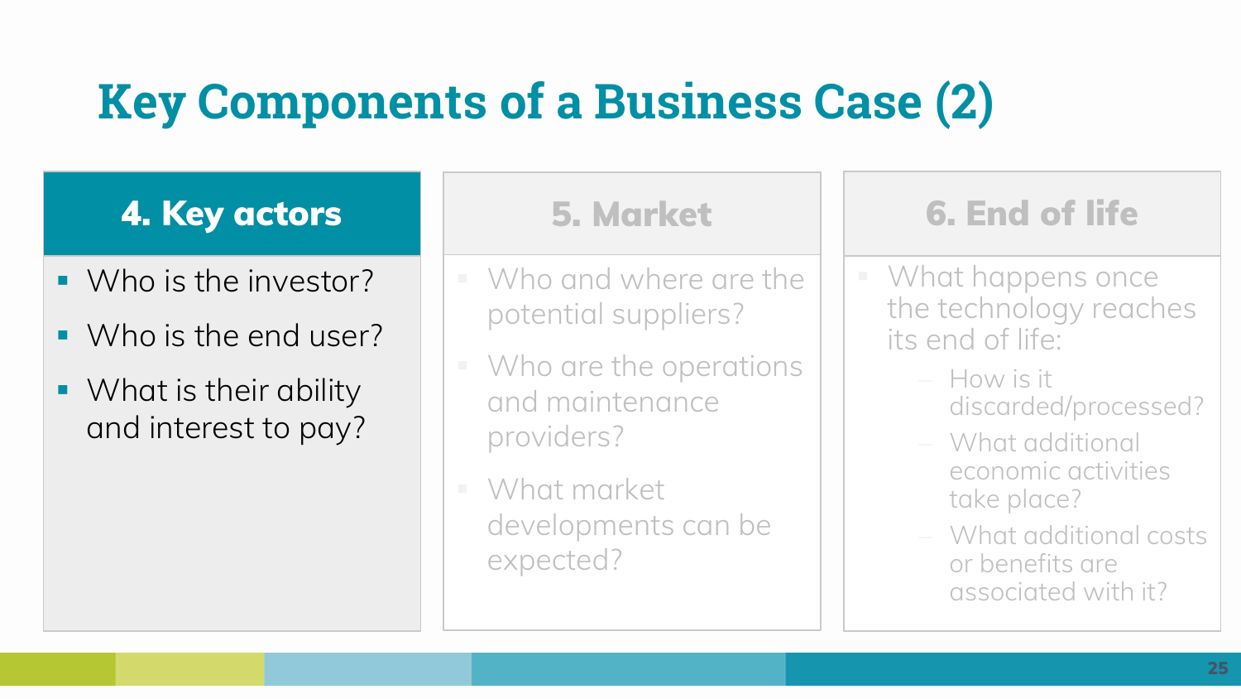# **Key Components of a Business Case (2)**

## **4. Key actors**

- Who is the investor?
- Who is the end user?
- What is their ability and interest to pay?

- Who and where are the potential suppliers?
- Who are the operations and maintenance providers?
- What market developments can be expected?

## **5. Market 6. End of life**

- What happens once the technology reaches its end of life:
	- − How is it discarded/processed?
	- − What additional economic activities take place?
	- − What additional costs or benefits are associated with it?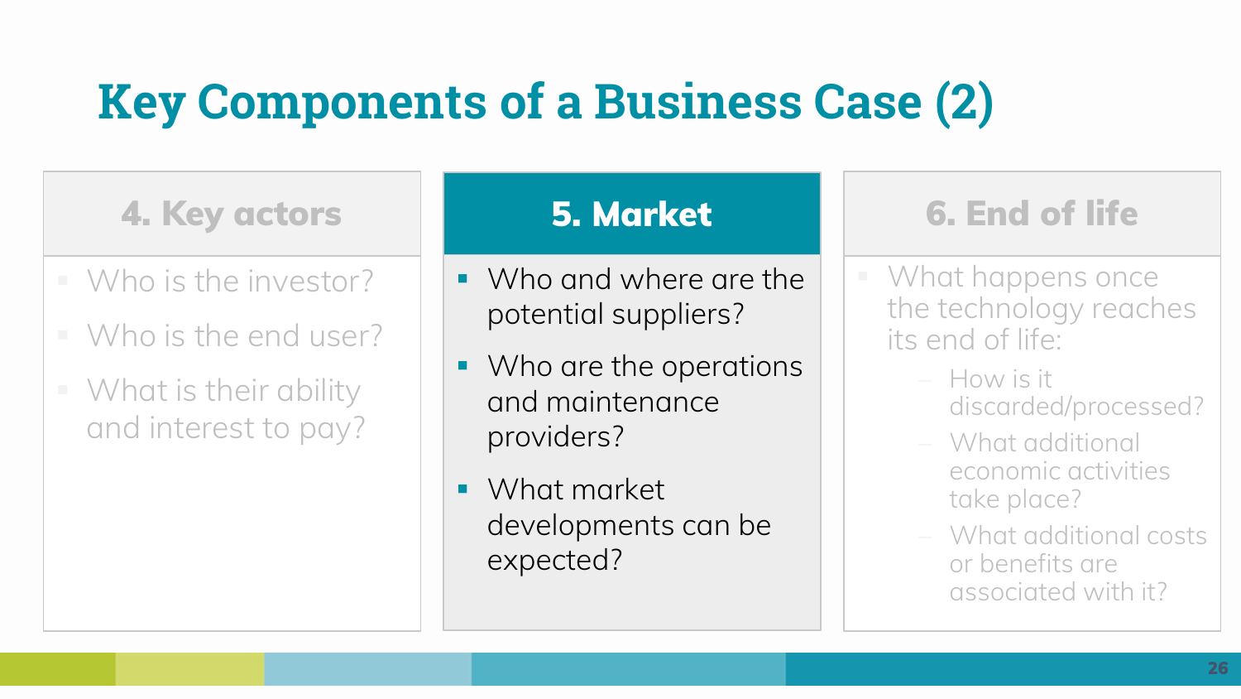# **Key Components of a Business Case (2)**

### **4. Key actors**

- Who is the investor?
- $\blacksquare$  Who is the end user?
- What is their ability and interest to pay?

- Who and where are the potential suppliers?
- Who are the operations and maintenance providers?
- What market developments can be expected?

## **5. Market 6. End of life**

- What happens once the technology reaches its end of life:
	- − How is it discarded/processed?
	- − What additional economic activities take place?
	- − What additional costs or benefits are associated with it?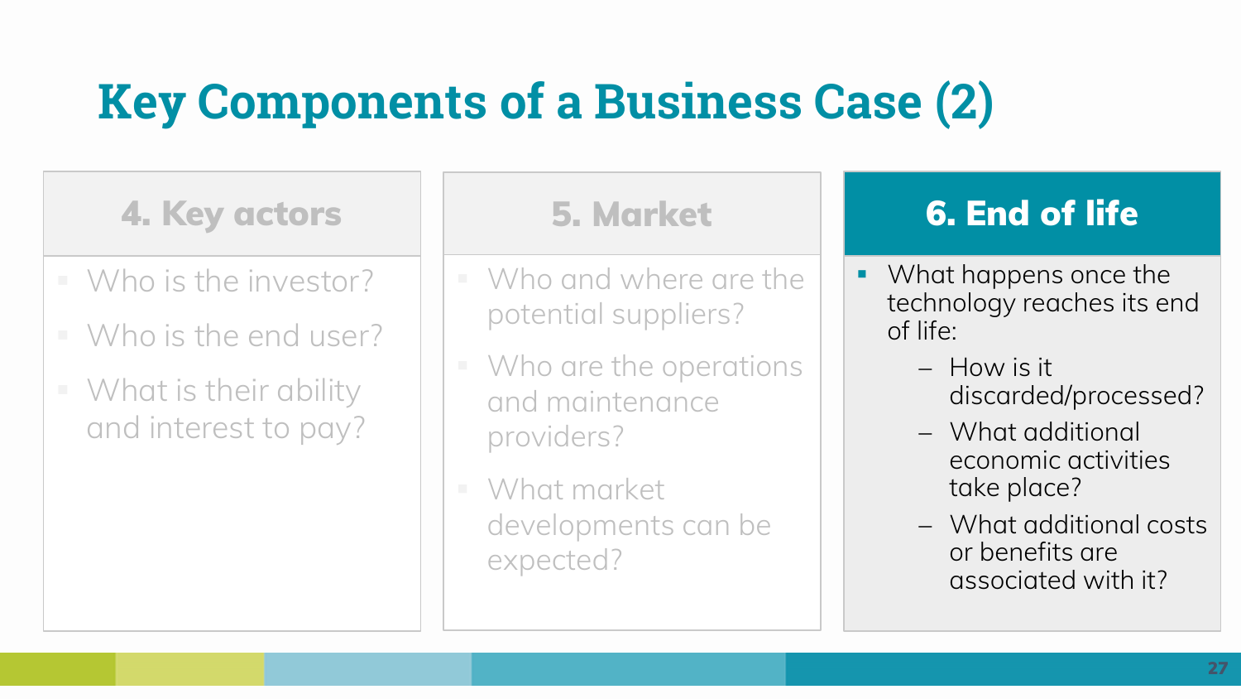# **Key Components of a Business Case (2)**

**4. Key actors**

- Who is the investor?
- $\blacksquare$  Who is the end user?
- What is their ability and interest to pay?

- Who and where are the potential suppliers?
- Who are the operations and maintenance providers?
- What market developments can be expected?

## **5. Market 6. End of life**

- What happens once the technology reaches its end of life:
	- − How is it discarded/processed?
	- − What additional economic activities take place?
	- − What additional costs or benefits are associated with it?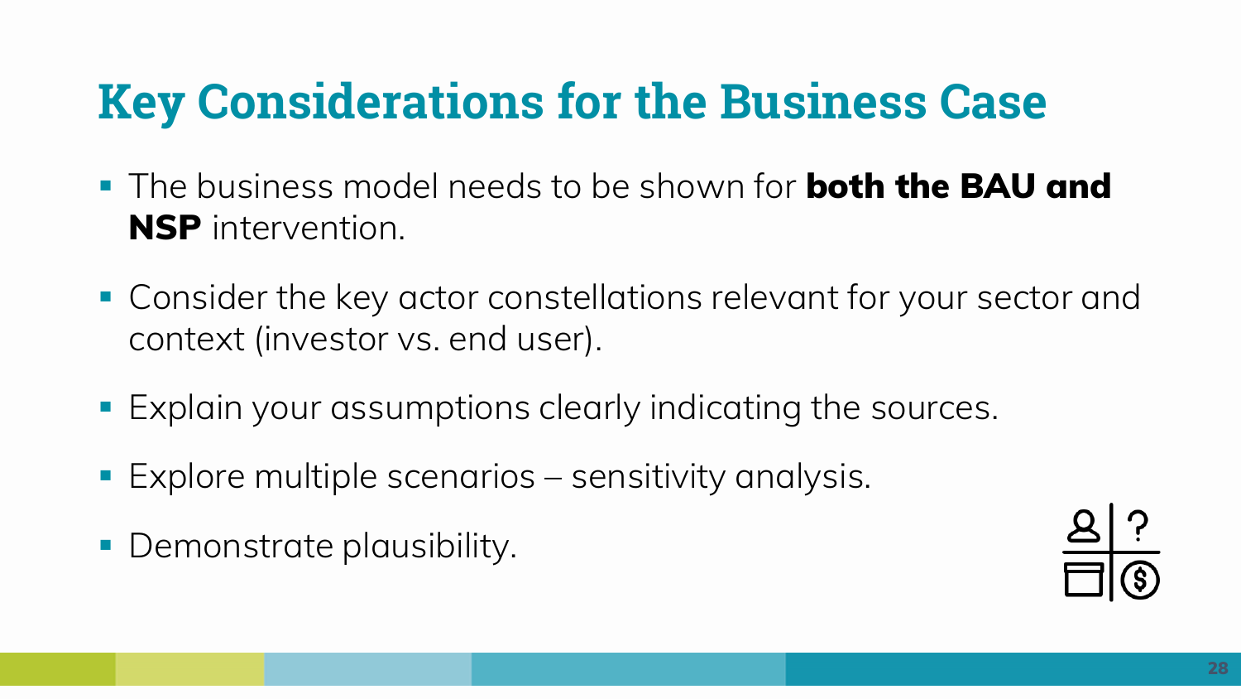# **Key Considerations for the Business Case**

- The business model needs to be shown for **both the BAU and NSP** intervention.
- **Consider the key actor constellations relevant for your sector and** context (investor vs. end user).
- **Explain your assumptions clearly indicating the sources.**
- Explore multiple scenarios sensitivity analysis.
- **Demonstrate plausibility.**

![](_page_27_Picture_6.jpeg)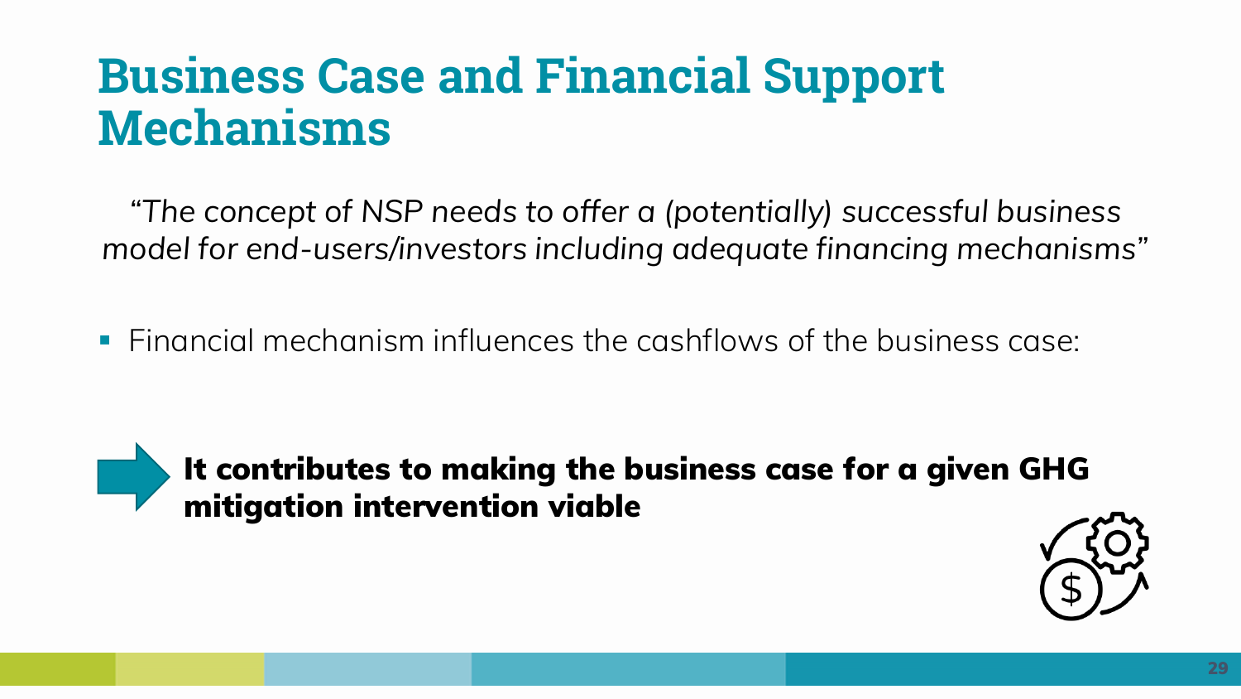## **Business Case and Financial Support Mechanisms**

*"The concept of NSP needs to offer a (potentially) successful business model for end-users/investors including adequate financing mechanisms"* 

▪ Financial mechanism influences the cashflows of the business case:

**It contributes to making the business case for a given GHG mitigation intervention viable**

![](_page_28_Picture_5.jpeg)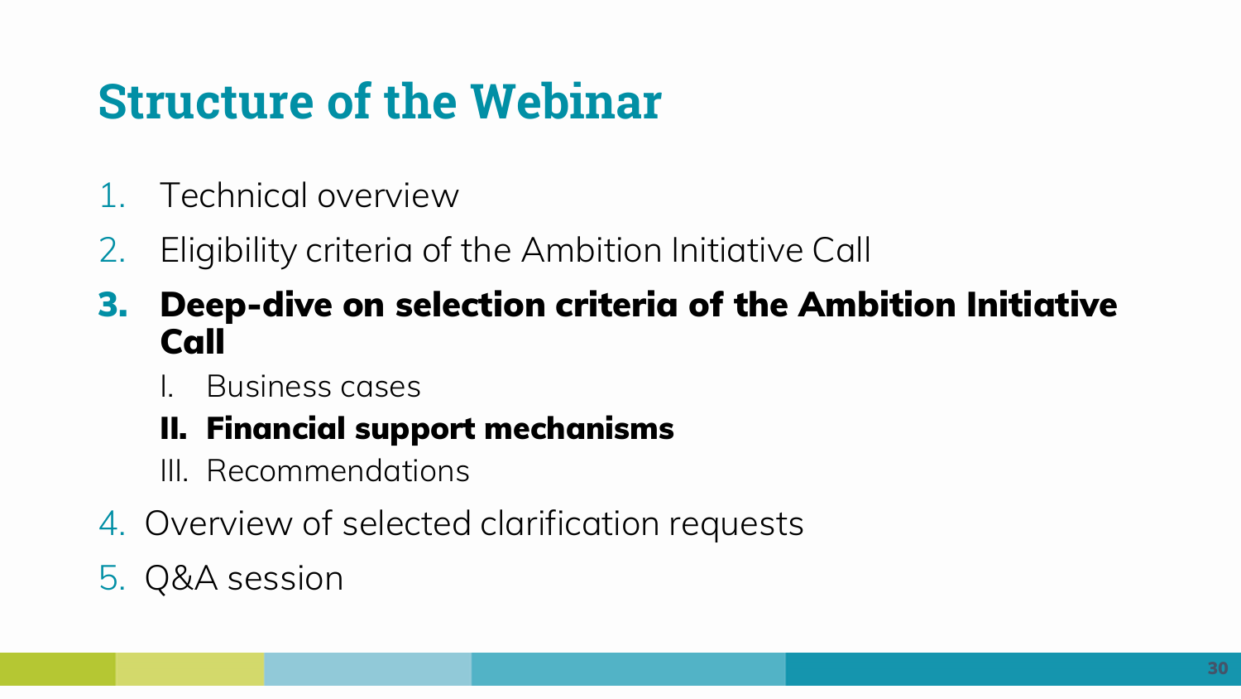# **Structure of the Webinar**

- 1. Technical overview
- 2. Eligibility criteria of the Ambition Initiative Call
- **3. Deep-dive on selection criteria of the Ambition Initiative Call**
	- I. Business cases

## **II. Financial support mechanisms**

- III. Recommendations
- 4. Overview of selected clarification requests
- 5. Q&A session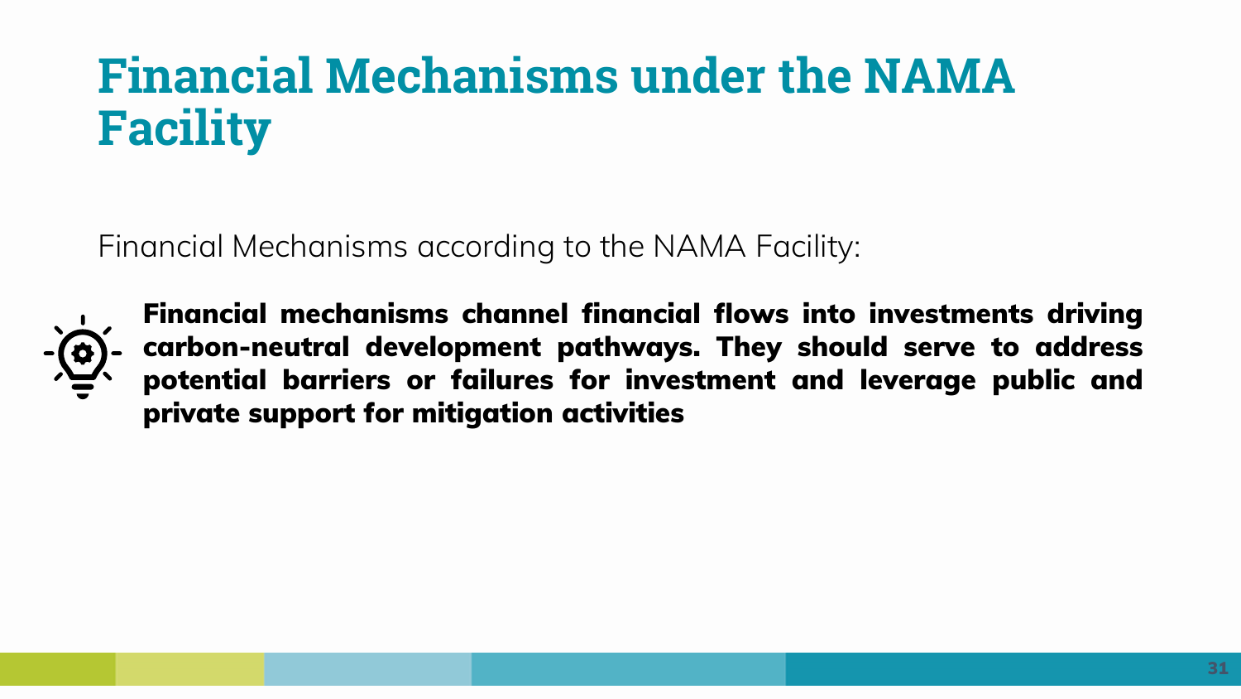# **Financial Mechanisms under the NAMA Facility**

Financial Mechanisms according to the NAMA Facility:

![](_page_30_Picture_2.jpeg)

**Financial mechanisms channel financial flows into investments driving carbon-neutral development pathways. They should serve to address potential barriers or failures for investment and leverage public and private support for mitigation activities**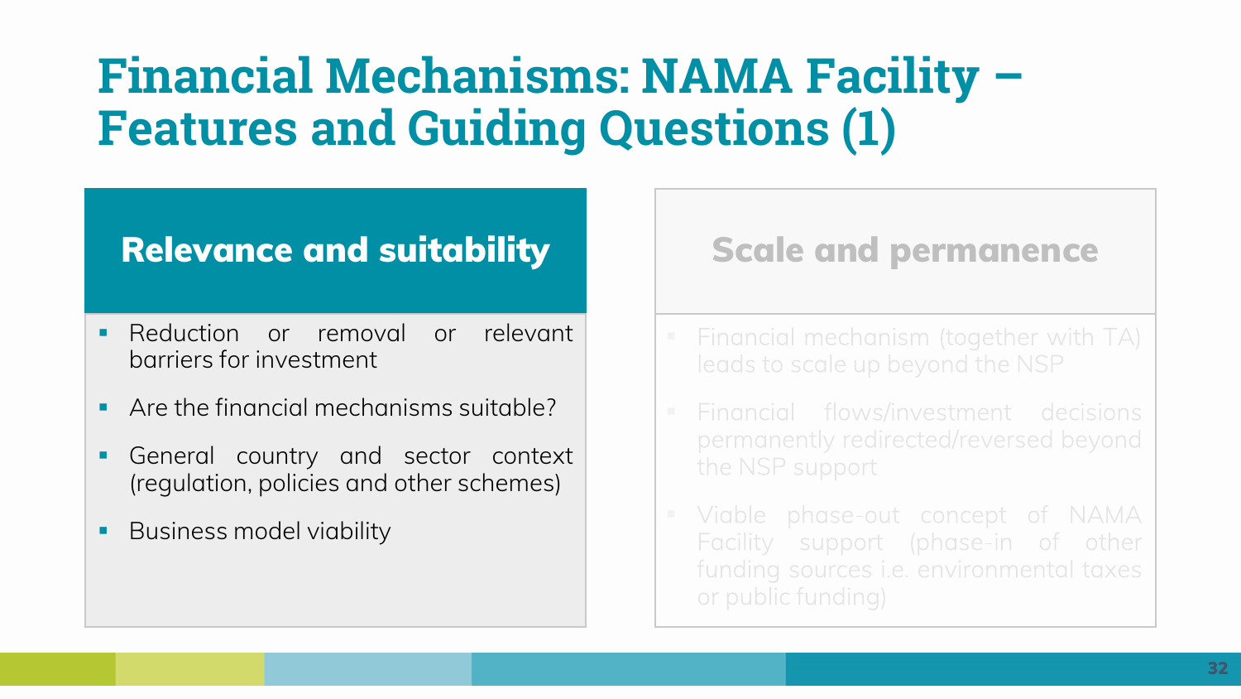## **Financial Mechanisms: NAMA Facility – Features and Guiding Questions (1)**

## **Relevance and suitability**

- **Reduction or removal or relevant** barriers for investment
- Are the financial mechanisms suitable?
- General country and sector context (regulation, policies and other schemes)
- Business model viability

#### **Scale and permanence**

- 
- the NSP support
- Viable phase-out concept of NAMA Facility support (phase-in of other funding sources i.e. environmental taxes or public funding)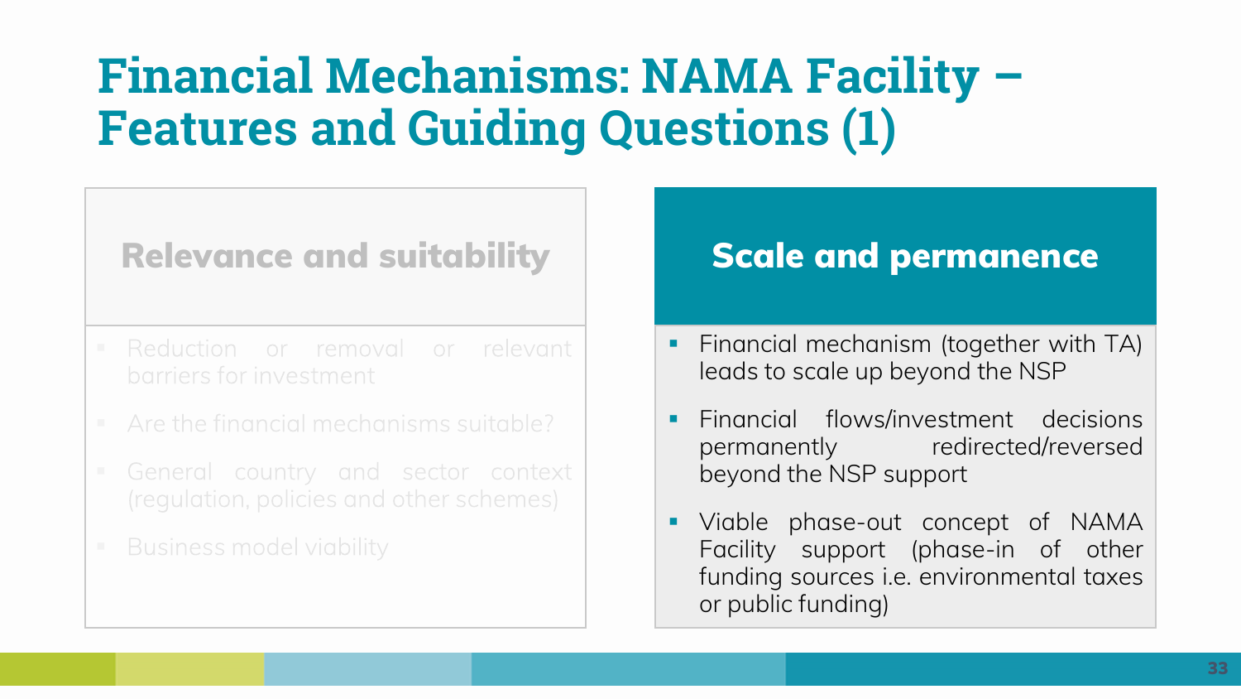## **Financial Mechanisms: NAMA Facility – Features and Guiding Questions (1)**

### **Relevance and suitability**

- Reduction or removal or relevant barriers for investment
- 
- 
- 

#### **Scale and permanence**

- Financial mechanism (together with TA) leads to scale up beyond the NSP
- Financial flows/investment decisions permanently redirected/reversed beyond the NSP support
- Viable phase-out concept of NAMA Facility support (phase-in of other funding sources i.e. environmental taxes or public funding)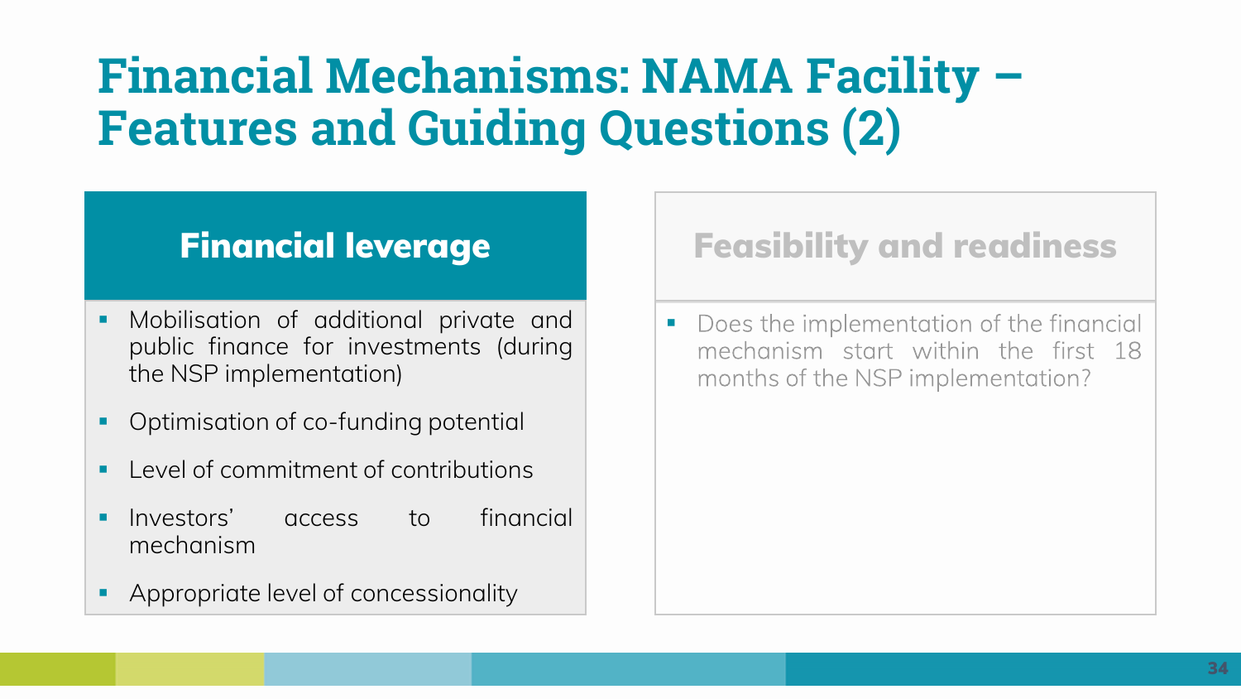# **Financial Mechanisms: NAMA Facility – Features and Guiding Questions (2)**

## **Financial leverage**

- Mobilisation of additional private and public finance for investments (during the NSP implementation)
- Optimisation of co-funding potential
- I evel of commitment of contributions
- Investors' access to financial mechanism
- Appropriate level of concessionality

## **Feasibility and readiness**

Does the implementation of the financial ▪ mechanism start within the first 18 months of the NSP implementation?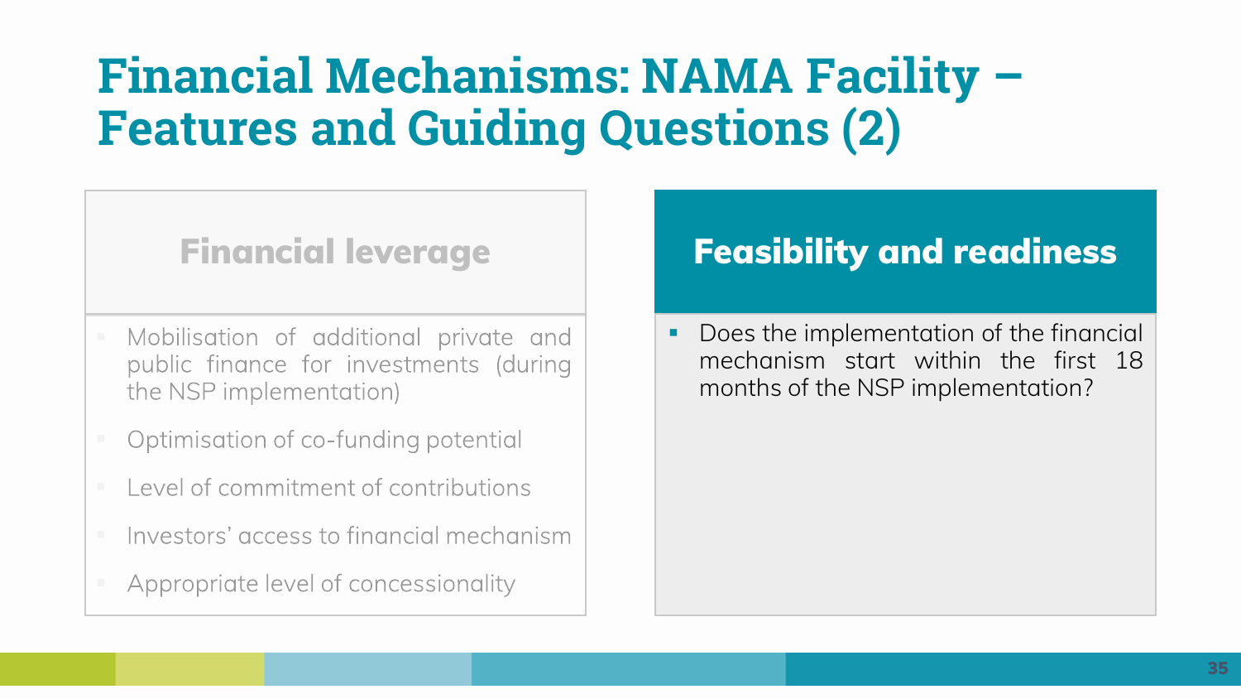## **Financial Mechanisms: NAMA Facility – Features and Guiding Questions (2)**

### **Financial leverage**

- Mobilisation of additional private and public finance for investments (during the NSP implementation)
- Optimisation of co-funding potential
- **Lack**ed of commitment of contributions
- **E** Investors' access to financial mechanism
- Appropriate level of concessionality

## **Feasibility and readiness**

■ Does the implementation of the financial mechanism start within the first 18 months of the NSP implementation?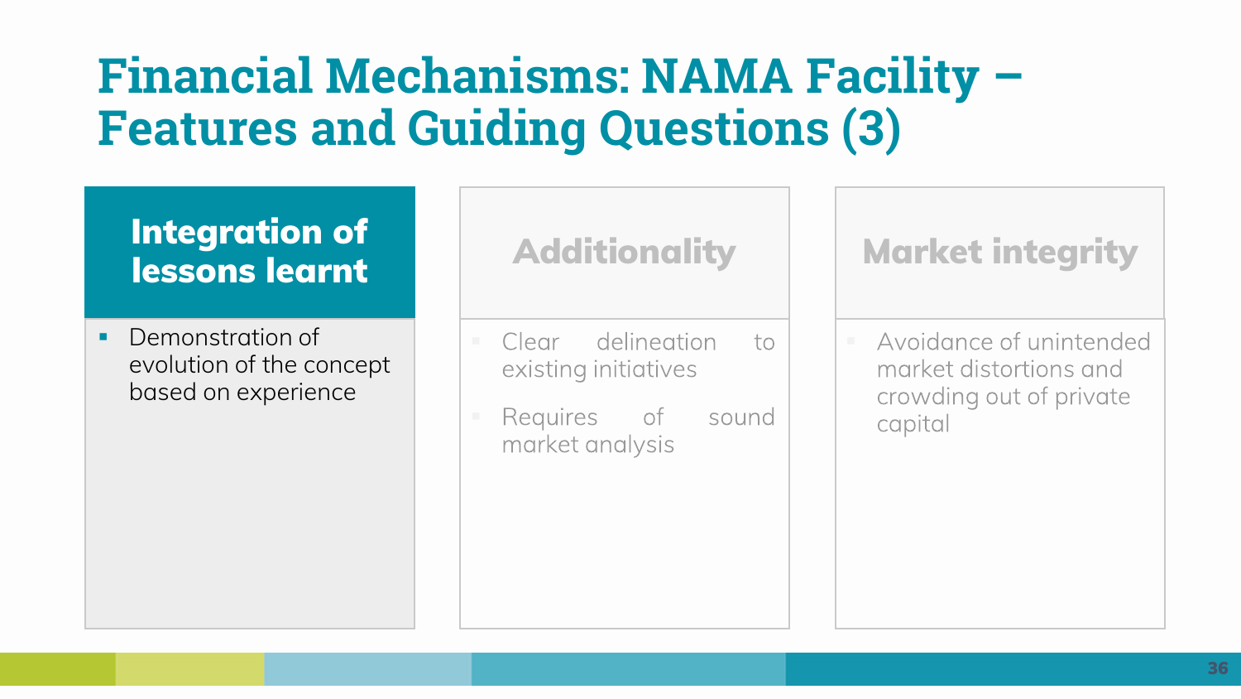## **Financial Mechanisms: NAMA Facility – Features and Guiding Questions (3)**

### **Integration of lessons learnt**

**•** Demonstration of evolution of the concept based on experience

## **Additionality**

- delineation Clear  $\overline{10}$ existing initiatives
- Requires of sound market analysis

## **Market integrity**

Avoidance of unintended market distortions and crowding out of private capital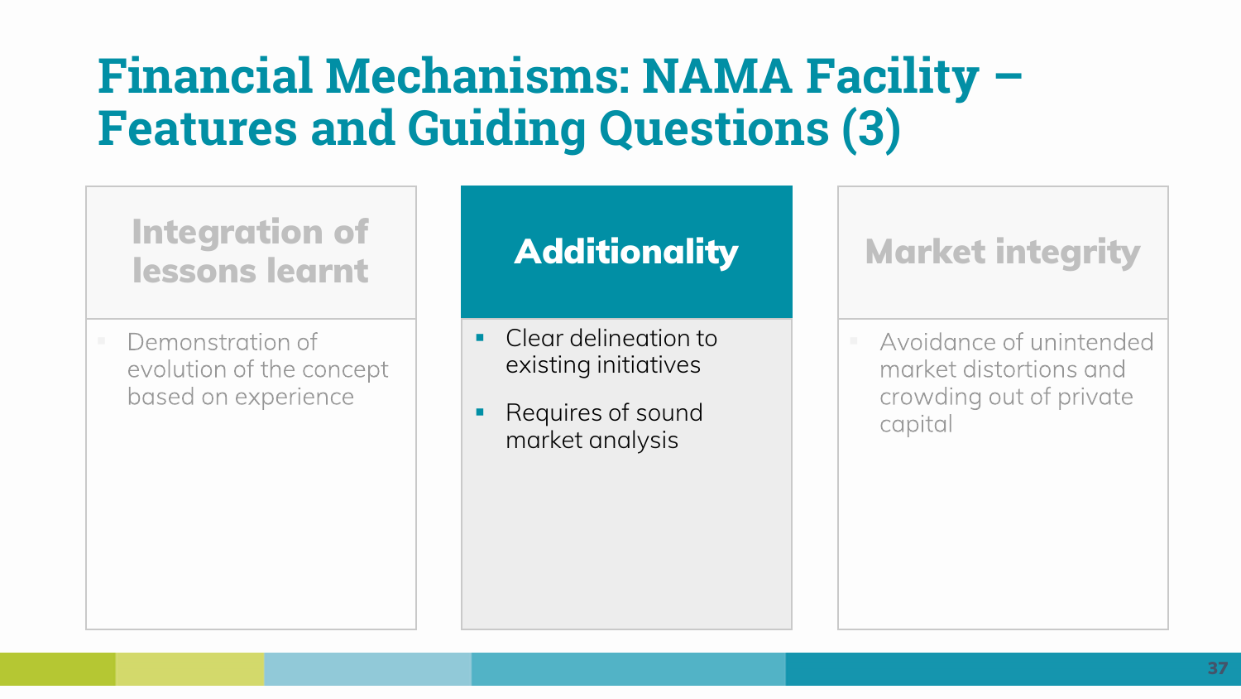## **Financial Mechanisms: NAMA Facility – Features and Guiding Questions (3)**

### **Integration of lessons learnt**

Demonstration of evolution of the concept based on experience

## **Additionality**

- Clear delineation to existing initiatives
- Requires of sound market analysis

## **Market integrity**

Avoidance of unintended market distortions and crowding out of private capital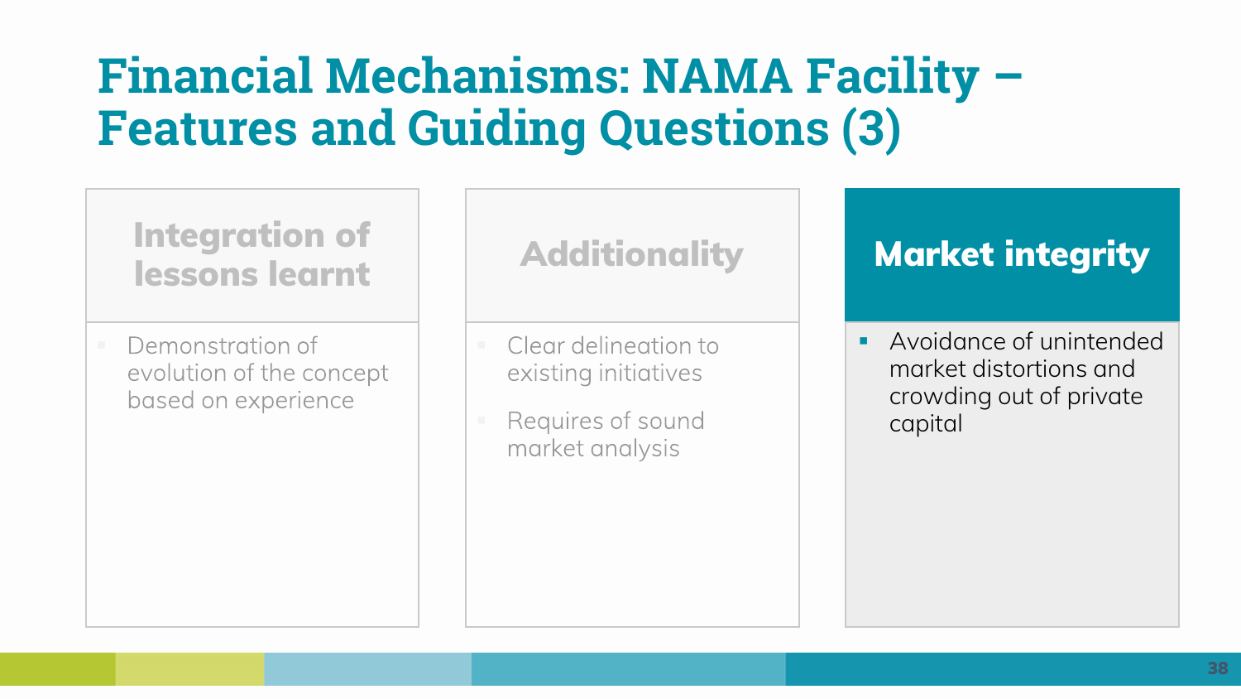## **Financial Mechanisms: NAMA Facility – Features and Guiding Questions (3)**

## **Integration of lessons learnt**

Demonstration of evolution of the concept based on experience

### **Additionality**

- Clear delineation to existing initiatives
- Requires of sound market analysis

## **Market integrity**

■ Avoidance of unintended market distortions and crowding out of private capital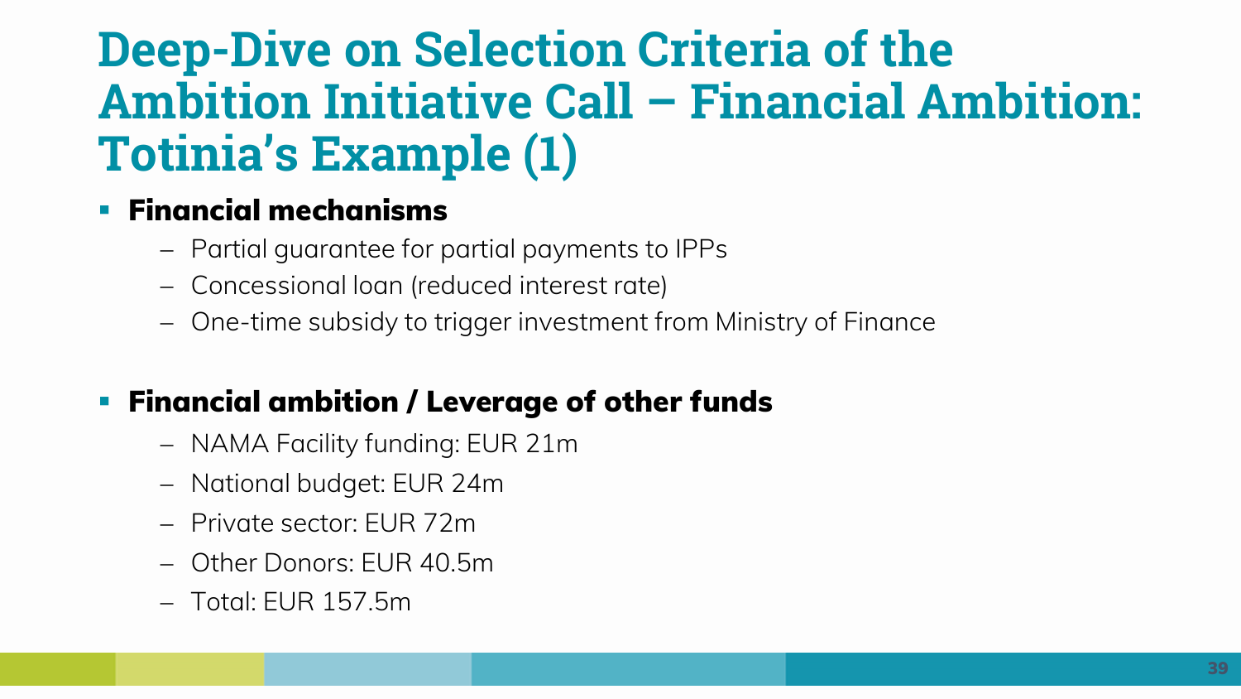## **Deep-Dive on Selection Criteria of the Ambition Initiative Call – Financial Ambition: Totinia's Example (1)**

#### ▪ **Financial mechanisms**

- − Partial guarantee for partial payments to IPPs
- − Concessional loan (reduced interest rate)
- − One-time subsidy to trigger investment from Ministry of Finance

#### ▪ **Financial ambition / Leverage of other funds**

- − NAMA Facility funding: EUR 21m
- − National budget: EUR 24m
- − Private sector: EUR 72m
- − Other Donors: EUR 40.5m
- − Total: EUR 157.5m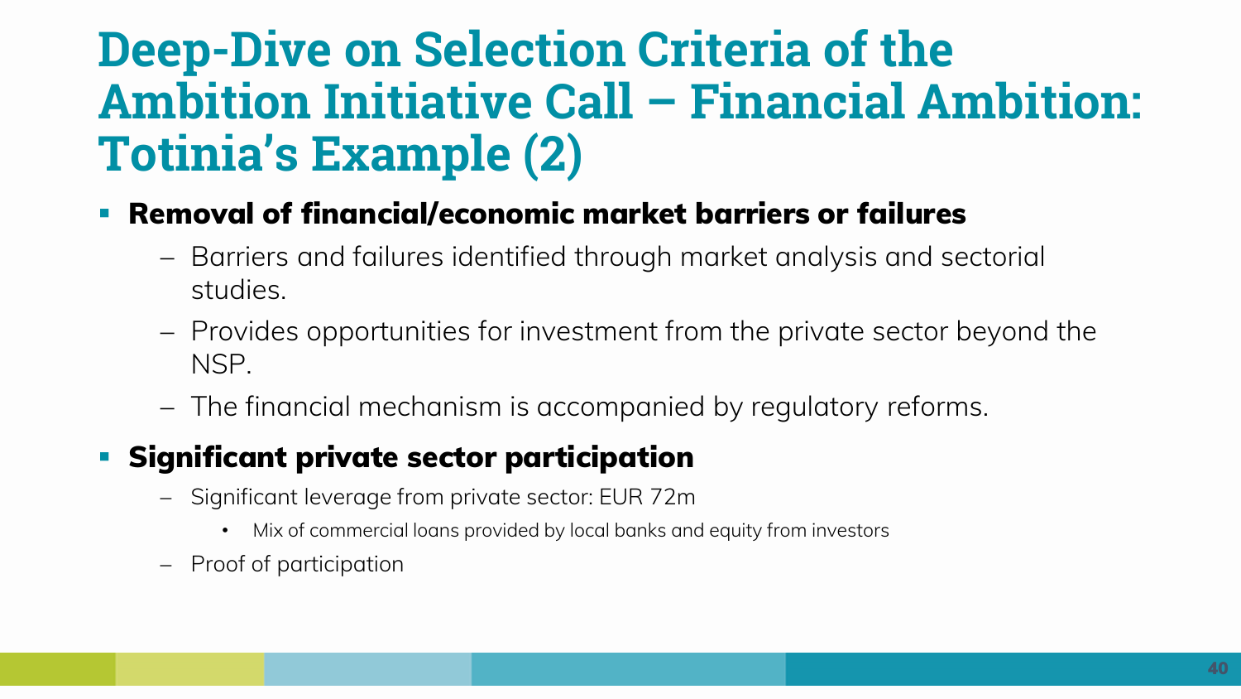## **Deep-Dive on Selection Criteria of the Ambition Initiative Call – Financial Ambition: Totinia's Example (2)**

- **Removal of financial/economic market barriers or failures**
	- − Barriers and failures identified through market analysis and sectorial studies.
	- − Provides opportunities for investment from the private sector beyond the NSP.
	- − The financial mechanism is accompanied by regulatory reforms.

### ▪ **Significant private sector participation**

- − Significant leverage from private sector: EUR 72m
	- Mix of commercial loans provided by local banks and equity from investors
- − Proof of participation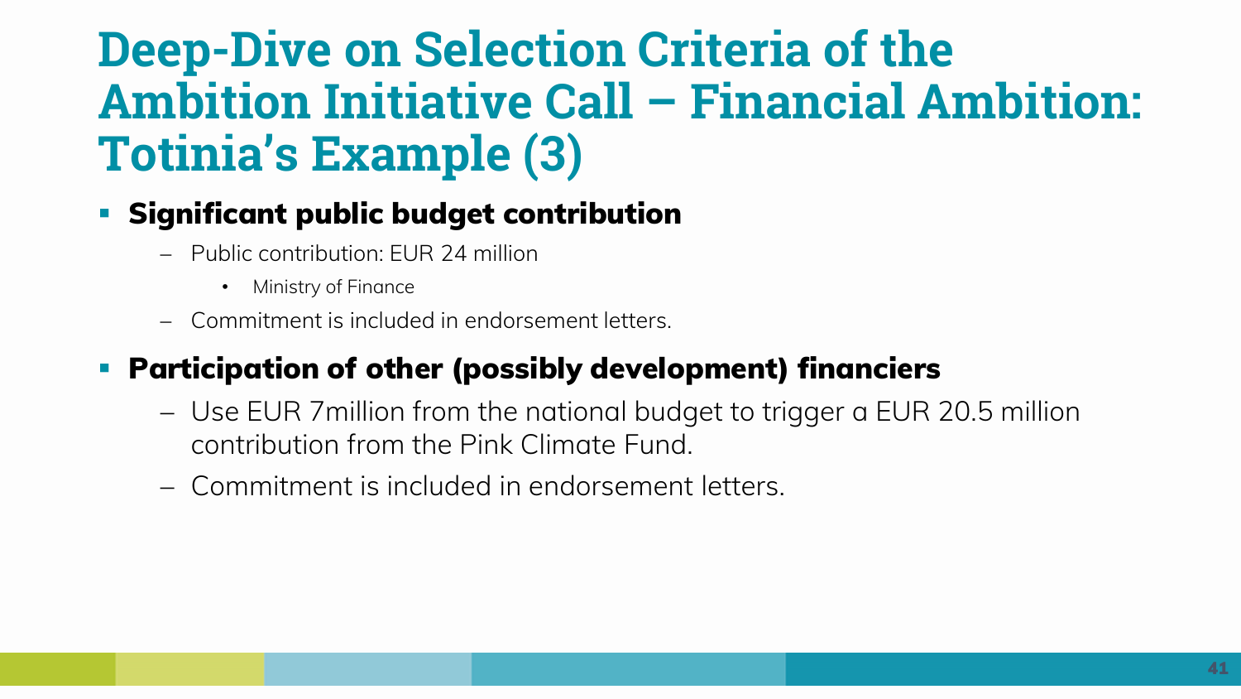## **Deep-Dive on Selection Criteria of the Ambition Initiative Call – Financial Ambition: Totinia's Example (3)**

#### ▪ **Significant public budget contribution**

- − Public contribution: EUR 24 million
	- Ministry of Finance
- − Commitment is included in endorsement letters.

### ▪ **Participation of other (possibly development) financiers**

- − Use EUR 7million from the national budget to trigger a EUR 20.5 million contribution from the Pink Climate Fund.
- − Commitment is included in endorsement letters.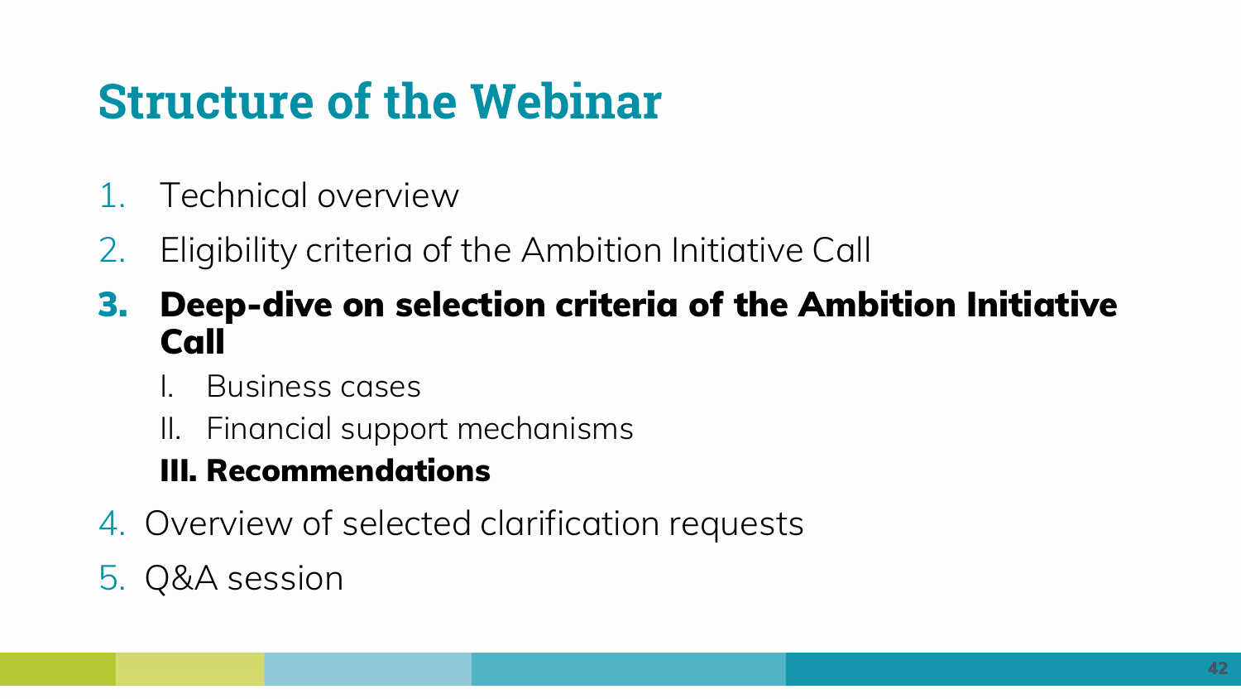# **Structure of the Webinar**

- 1. Technical overview
- 2. Eligibility criteria of the Ambition Initiative Call
- **3. Deep-dive on selection criteria of the Ambition Initiative Call**
	- I. Business cases
	- II. Financial support mechanisms

## **III. Recommendations**

4. Overview of selected clarification requests

## 5. Q&A session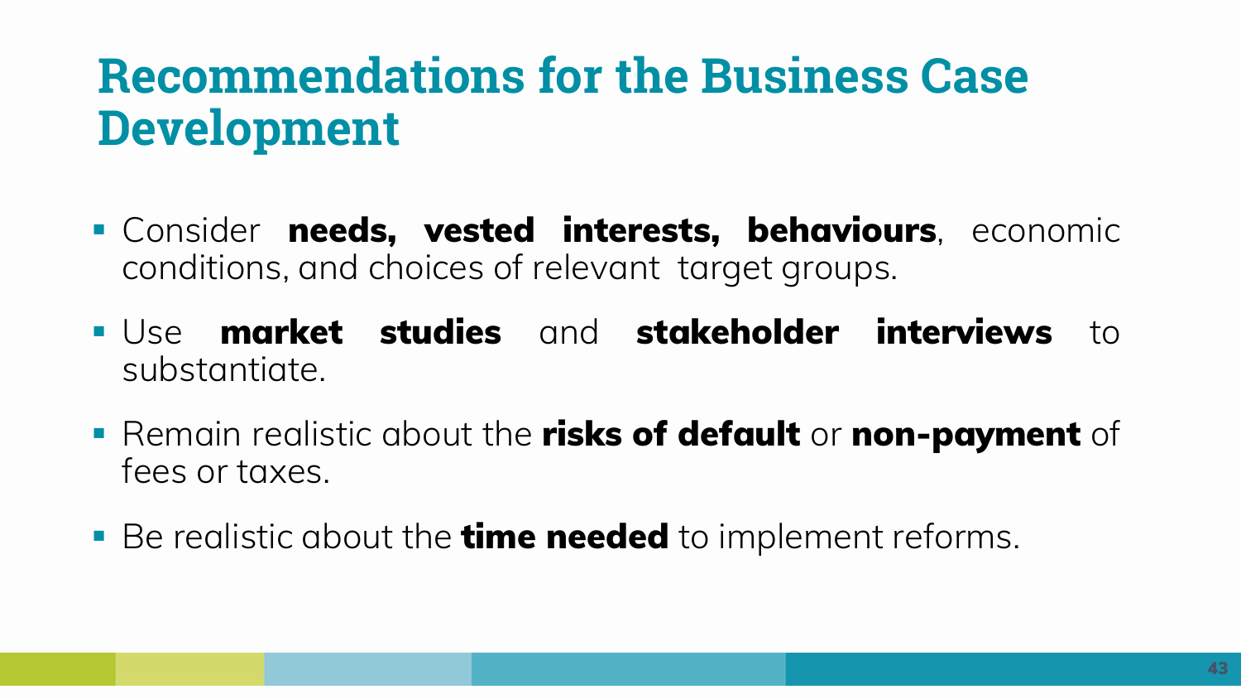## **Recommendations for the Business Case Development**

- Consider **needs, vested interests, behaviours**, economic conditions, and choices of relevant target groups.
- Use **market studies** and **stakeholder interviews** to substantiate.
- Remain realistic about the **risks of default** or **non-payment** of fees or taxes.
- Be realistic about the **time needed** to implement reforms.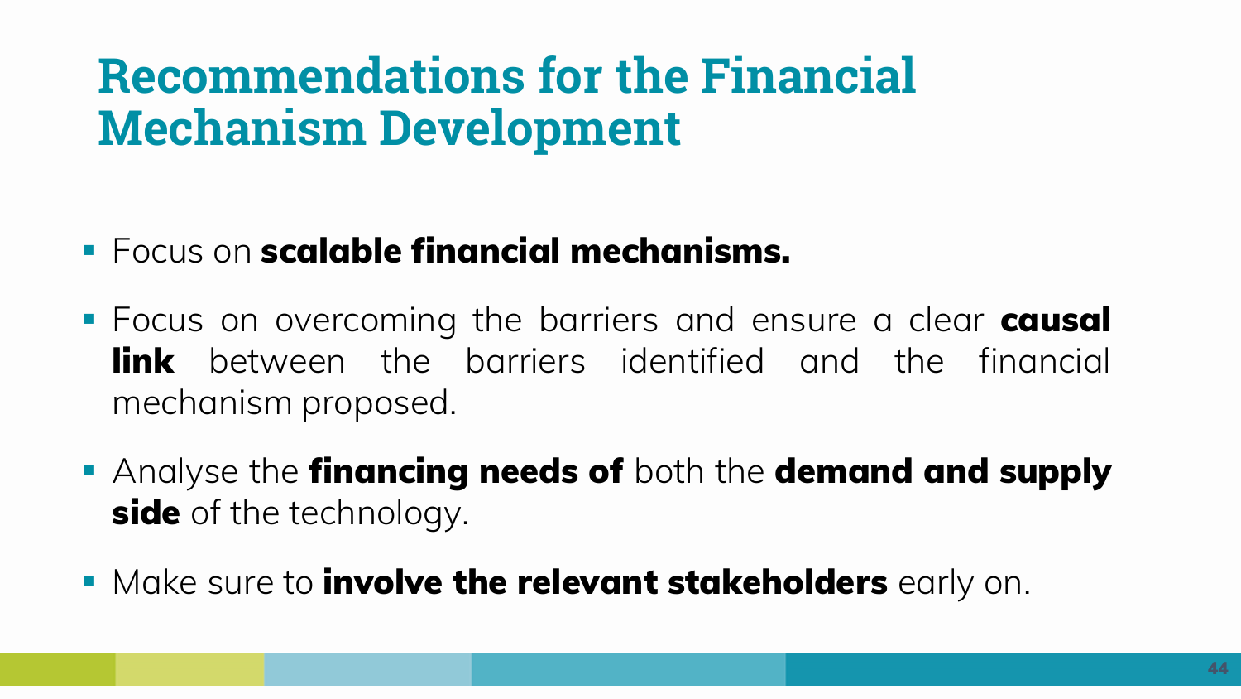## **Recommendations for the Financial Mechanism Development**

- Focus on **scalable financial mechanisms.**
- Focus on overcoming the barriers and ensure a clear **causal link** between the barriers identified and the financial mechanism proposed.
- Analyse the **financing needs of** both the **demand and supply side** of the technology.
- Make sure to **involve the relevant stakeholders** early on.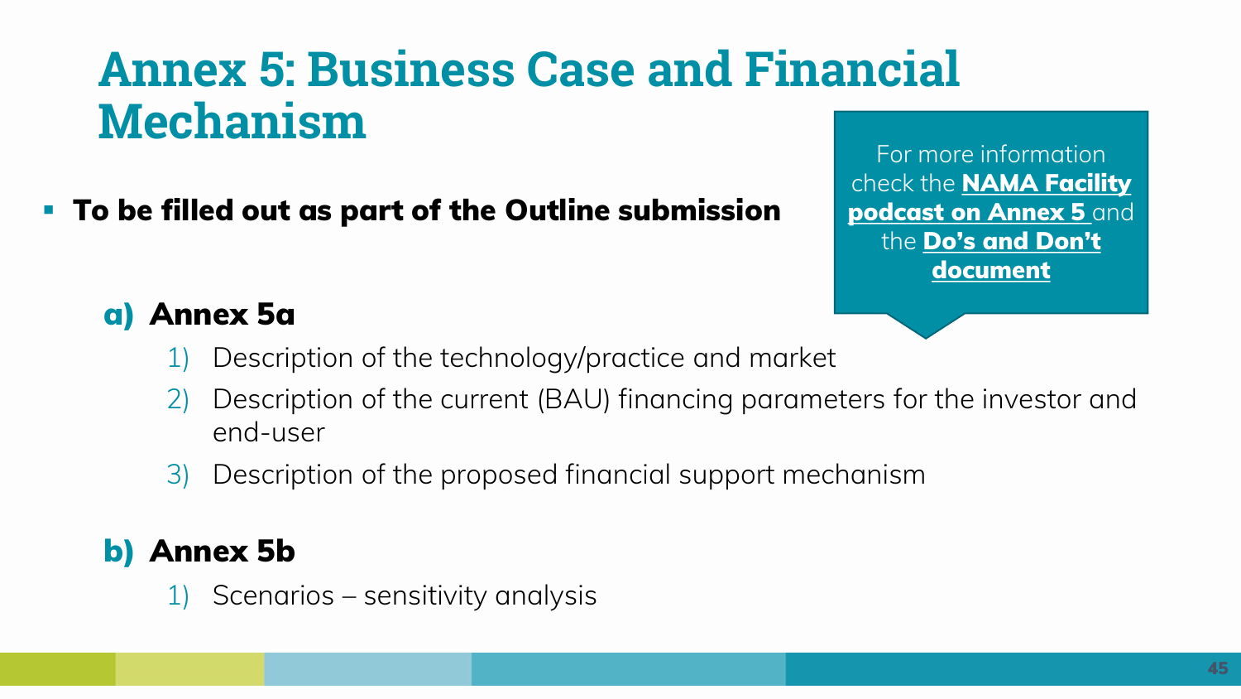## **Annex 5: Business Case and Financial Mechanism**

▪ **To be filled out as part of the Outline submission** 

For more information check the **NAMA Facility [podcast on Annex 5](https://www.nama-facility.org/webinars/nama-facility-ambition-initiative-call-podcast-introduction-to-annex-5a-financial-mechanism/)** and the **[Do's and Don't](https://www.nama-facility.org/news/nama-facility-ambition-initiative-call-publication-dos-and-donts-before-you-submit-your-nsp-outl/)  document** 

#### **a) Annex 5a**

- 1) Description of the technology/practice and market
- 2) Description of the current (BAU) financing parameters for the investor and end-user
- 3) Description of the proposed financial support mechanism

#### **b) Annex 5b**

1) Scenarios – sensitivity analysis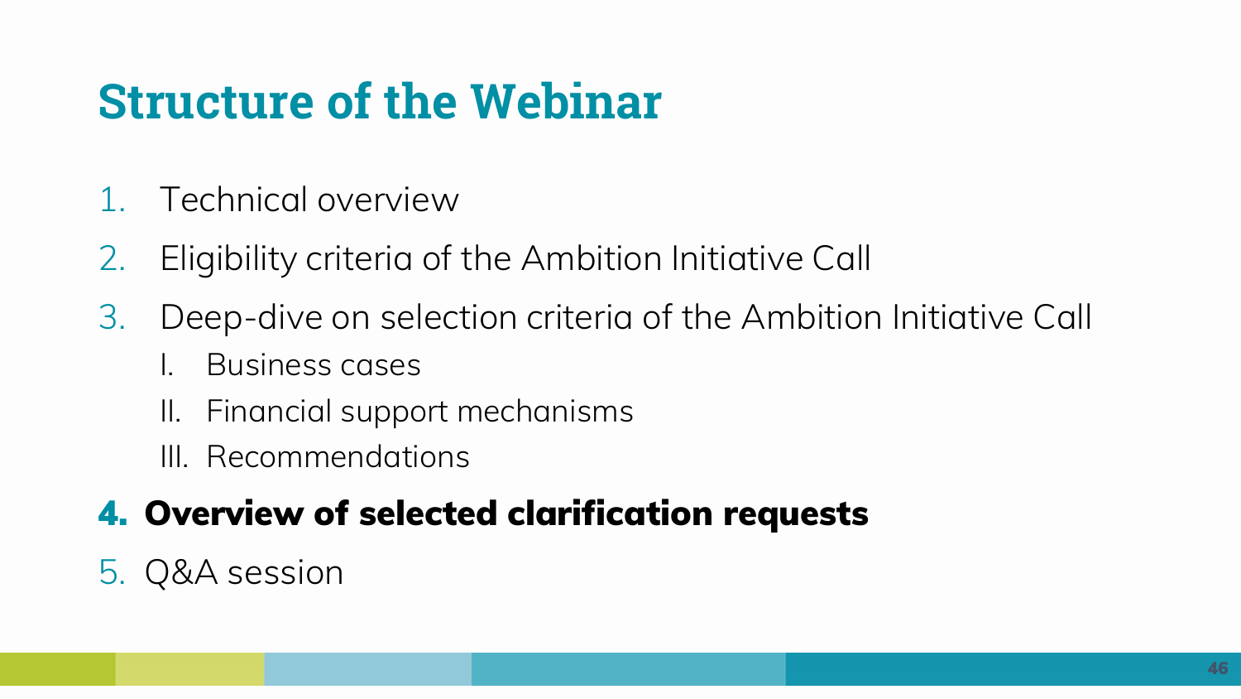# **Structure of the Webinar**

- 1. Technical overview
- 2. Eligibility criteria of the Ambition Initiative Call
- 3. Deep-dive on selection criteria of the Ambition Initiative Call
	- I. Business cases
	- II. Financial support mechanisms
	- III. Recommendations

## **4. Overview of selected clarification requests**

5. Q&A session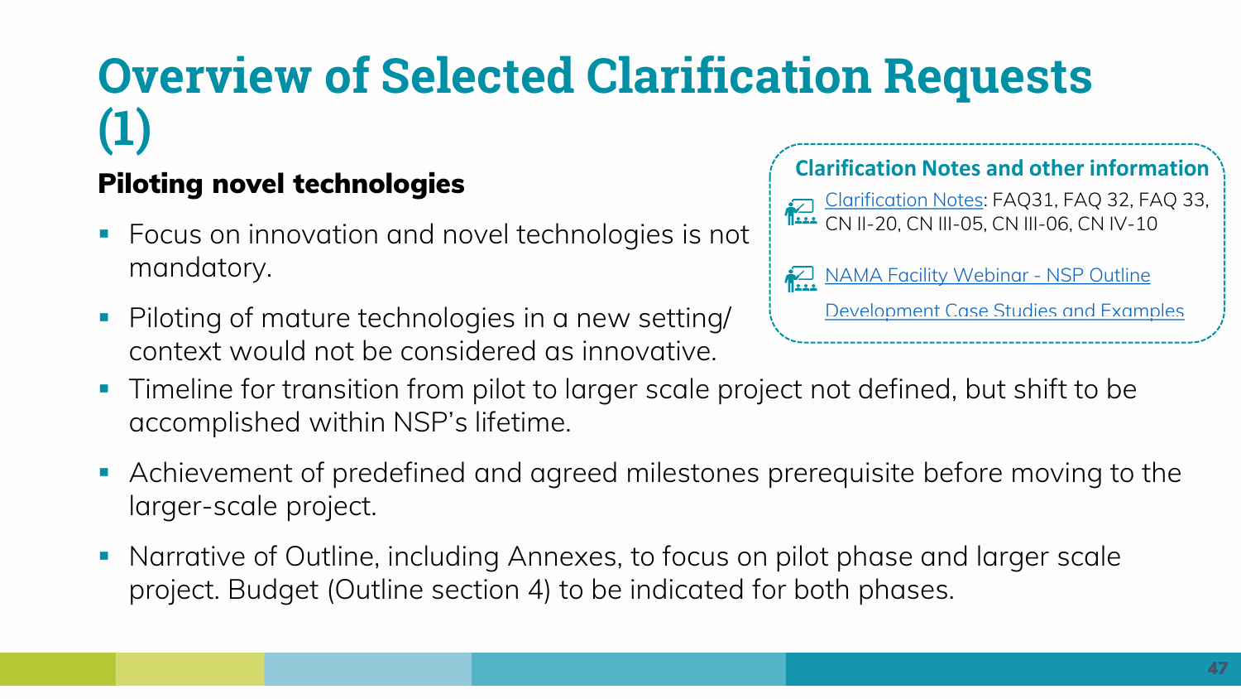# **Overview of Selected Clarification Requests (1)**

#### **Piloting novel technologies**

- Focus on innovation and novel technologies is not mandatory.
- Piloting of mature technologies in a new setting/ context would not be considered as innovative.

#### **Clarification Notes and other information**

[Clarification Notes:](https://www.nama-facility.org/call-for-projects/ambition-initiative/clarifications-and-faqs/) FAQ31, FAQ 32, FAQ 33, CN II-20, CN III-05, CN III-06, CN IV-10

**NAMA Facility Webinar - NSP Outline** 

[Development Case Studies and Examples](NAMA%20Facility%20Webinar%20-%20Ambition%20Initiative%20Call%20-%20NSP%20Outline%20Development%20Case%20Studies%20and%20Examples)

- **·** Timeline for transition from pilot to larger scale project not defined, but shift to be accomplished within NSP's lifetime.
- Achievement of predefined and agreed milestones prerequisite before moving to the larger-scale project.
- Narrative of Outline, including Annexes, to focus on pilot phase and larger scale project. Budget (Outline section 4) to be indicated for both phases.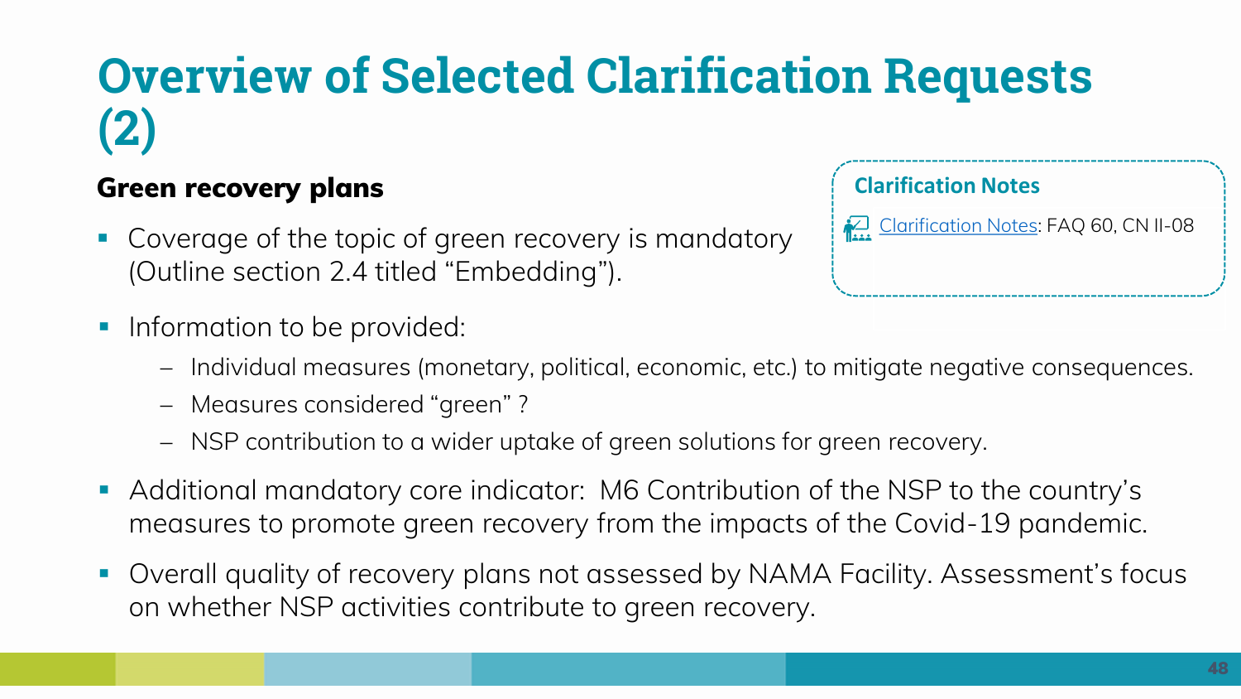# **Overview of Selected Clarification Requests (2)**

#### **Green recovery plans**

- Coverage of the topic of green recovery is mandatory (Outline section 2.4 titled "Embedding").
- **•** Information to be provided:

[Clarification Notes](https://www.nama-facility.org/call-for-projects/ambition-initiative/clarifications-and-faqs/): FAQ 60, CN II-08 **Clarification Notes**

- − Individual measures (monetary, political, economic, etc.) to mitigate negative consequences.
- − Measures considered "green" ?
- − NSP contribution to a wider uptake of green solutions for green recovery.
- Additional mandatory core indicator: M6 Contribution of the NSP to the country's measures to promote green recovery from the impacts of the Covid-19 pandemic.
- Overall quality of recovery plans not assessed by NAMA Facility. Assessment's focus on whether NSP activities contribute to green recovery.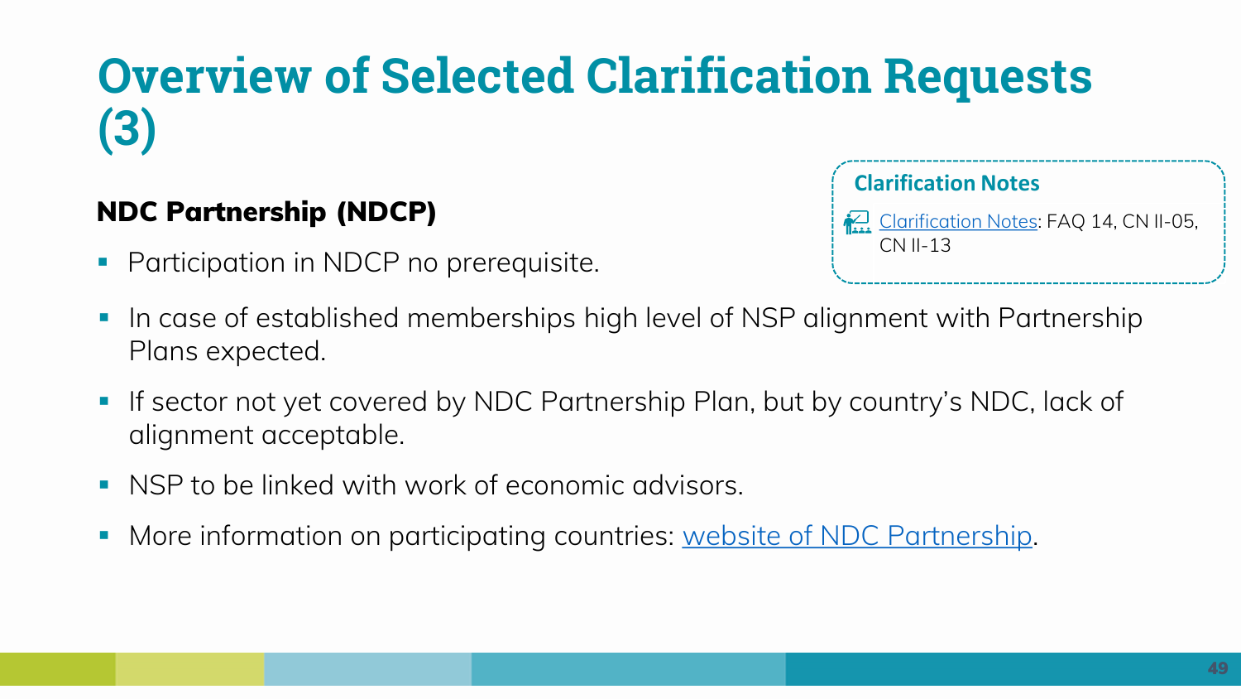# **Overview of Selected Clarification Requests (3)**

#### **NDC Partnership (NDCP)**

**Participation in NDCP no prerequisite.** 

**Clarification Notes**

[Clarification Notes](https://www.nama-facility.org/call-for-projects/ambition-initiative/clarifications-and-faqs/): FAQ 14, CN II-05, CN II-13

- In case of established memberships high level of NSP alignment with Partnership Plans expected.
- If sector not yet covered by NDC Partnership Plan, but by country's NDC, lack of alignment acceptable.
- NSP to be linked with work of economic advisors.
- More information on participating countries: [website of NDC Partnership](https://ndcpartnership.org/).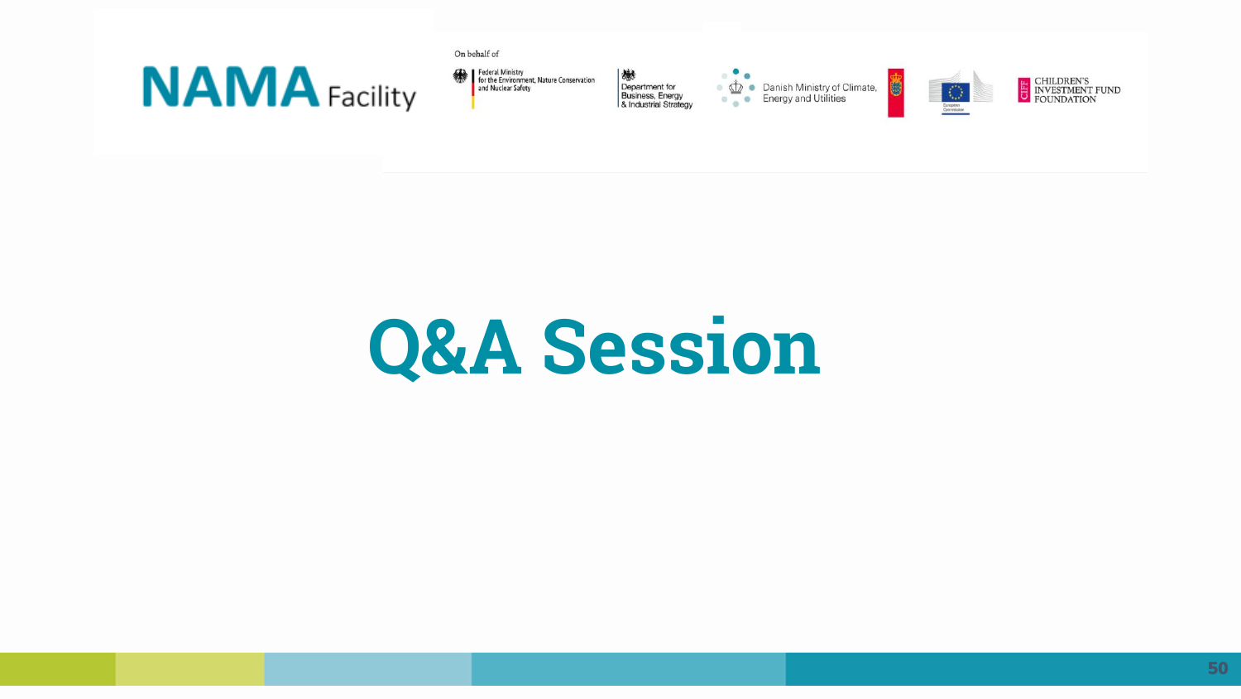![](_page_49_Picture_0.jpeg)

Federal Ministry<br>for the Environment, Nature Conservation<br>and Nuclear Safety

On behalf of

機 Department for<br>Business, Energy<br>& Industrial Strategy

 $\bullet$ **CONTINUITY CONTINUITY**<br>
Energy and Utilities

![](_page_49_Picture_4.jpeg)

U

E CHILDREN'S<br>INVESTMENT FUND<br>FOUNDATION

# **Q&A Session**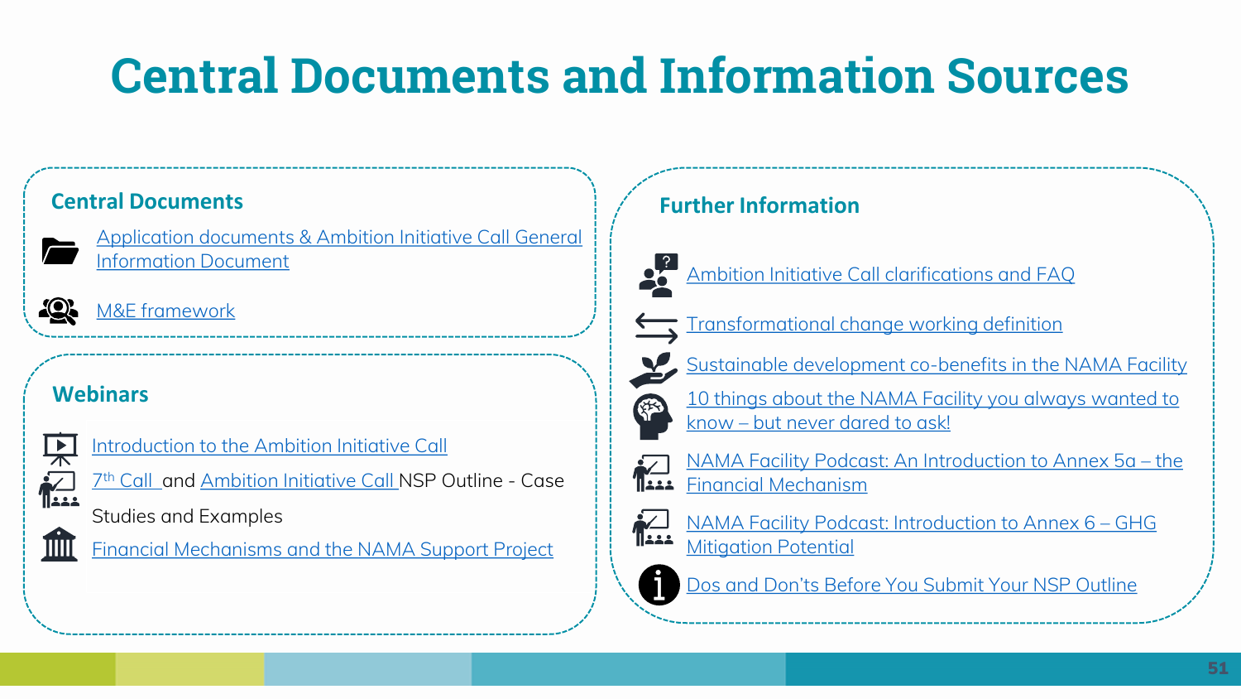# **Central Documents and Information Sources**

![](_page_50_Picture_2.jpeg)

[Application documents & Ambition Initiative Call General](https://www.nama-facility.org/call-for-projects/ambition-initiative/application-documents/)  Information Document

![](_page_50_Picture_4.jpeg)

[M&E framework](https://www.nama-facility.org/concept-and-approach/monitoring-evaluation/)

#### **Webinars**

![](_page_50_Picture_7.jpeg)

Introduction to the Ambition Initiative Call

![](_page_50_Picture_9.jpeg)

7<sup>th</sup> Call\_and Ambition Initiative [Call](https://www.nama-facility.org/webinars/nama-facility-webinar-7th-call-nsp-outline-development-case-studies-and-examples/) NSP Outline - Case

Studies and Examples

![](_page_50_Picture_12.jpeg)

[Financial Mechanisms and the NAMA Support Project](https://www.nama-facility.org/news/now-online-recording-of-the-webinar-financial-mechanisms-and-the-nama-support-project/)

#### **Central Documents Funding Central Documents Funding Central Documents Funding Central Documents**

![](_page_50_Picture_15.jpeg)

[Ambition Initiative Call clarifications and FAQ](https://www.nama-facility.org/call-for-projects/ambition-initiative/clarifications-and-faqs/)

![](_page_50_Picture_17.jpeg)

[Transformational change working definition](https://www.nama-facility.org/concept-and-approach/transformational-change/)

![](_page_50_Picture_19.jpeg)

[10 things about the NAMA Facility you always wanted to](https://www.nama-facility.org/fileadmin/user_upload/7th_Call_10_Things_About_the_NAMA_Facility.pdf) know – but never dared to ask!

![](_page_50_Picture_21.jpeg)

[NAMA Facility Podcast: An Introduction to Annex 5a](https://www.nama-facility.org/webinars/nama-facility-ambition-initiative-call-podcast-introduction-to-annex-5a-financial-mechanism/) – the Financial Mechanism

![](_page_50_Picture_23.jpeg)

[NAMA Facility Podcast: Introduction to Annex 6](https://www.nama-facility.org/webinars/nama-facility-podcast-introduction-to-annex-6-ghg-mitigation-potential/) – GHG **Mitigation Potential** 

![](_page_50_Picture_25.jpeg)